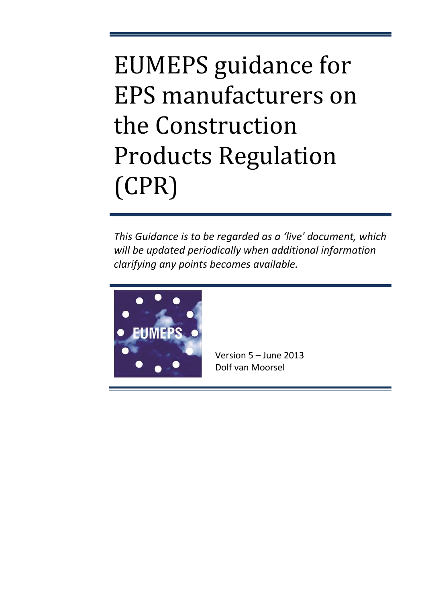# EUMEPS guidance for EPS manufacturers on the Construction Products Regulation (CPR)

*This Guidance is to be regarded as a 'live' document, which will be updated periodically when additional information clarifying any points becomes available.* 



Version 5 – June 2013 Dolf van Moorsel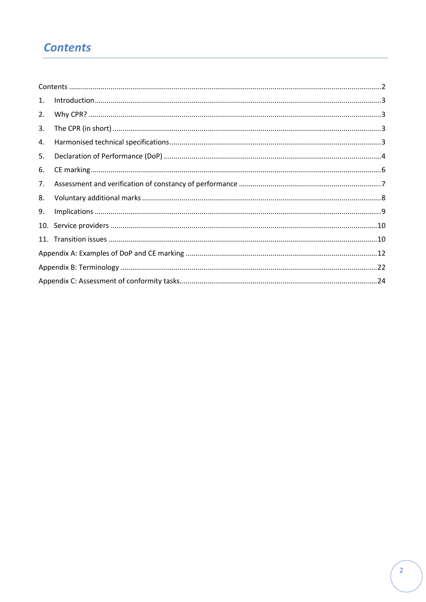### <span id="page-1-0"></span>**Contents**

| 1. |  |
|----|--|
| 2. |  |
| 3. |  |
| 4. |  |
| 5. |  |
| 6. |  |
| 7. |  |
| 8. |  |
| 9. |  |
|    |  |
|    |  |
|    |  |
|    |  |
|    |  |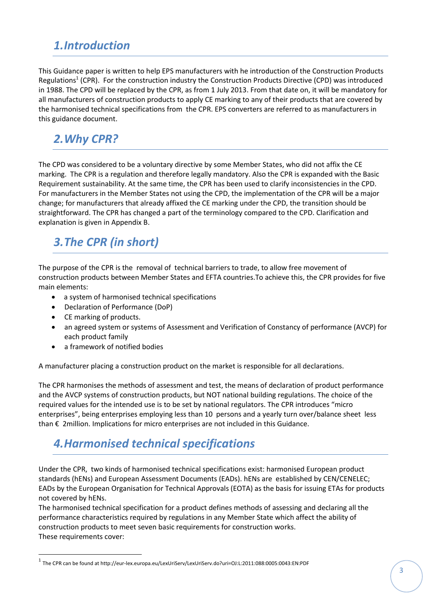### <span id="page-2-0"></span>*1.Introduction*

This Guidance paper is written to help EPS manufacturers with he introduction of the Construction Products Regulations<sup>1</sup> (CPR). For the construction industry the Construction Products Directive (CPD) was introduced in 1988. The CPD will be replaced by the CPR, as from 1 July 2013. From that date on, it will be mandatory for all manufacturers of construction products to apply CE marking to any of their products that are covered by the harmonised technical specifications from the CPR. EPS converters are referred to as manufacturers in this guidance document.

### <span id="page-2-1"></span>*2.Why CPR?*

The CPD was considered to be a voluntary directive by some Member States, who did not affix the CE marking. The CPR is a regulation and therefore legally mandatory. Also the CPR is expanded with the Basic Requirement sustainability. At the same time, the CPR has been used to clarify inconsistencies in the CPD. For manufacturers in the Member States not using the CPD, the implementation of the CPR will be a major change; for manufacturers that already affixed the CE marking under the CPD, the transition should be straightforward. The CPR has changed a part of the terminology compared to the CPD. Clarification and explanation is given in Appendix B.

# <span id="page-2-2"></span>*3.The CPR (in short)*

The purpose of the CPR is the removal of technical barriers to trade, to allow free movement of construction products between Member States and EFTA countries.To achieve this, the CPR provides for five main elements:

- a system of harmonised technical specifications
- Declaration of Performance (DoP)
- CE marking of products.

 $\overline{a}$ 

- an agreed system or systems of Assessment and Verification of Constancy of performance (AVCP) for each product family
- a framework of notified bodies

A manufacturer placing a construction product on the market is responsible for all declarations.

The CPR harmonises the methods of assessment and test, the means of declaration of product performance and the AVCP systems of construction products, but NOT national building regulations. The choice of the required values for the intended use is to be set by national regulators. The CPR introduces "micro enterprises", being enterprises employing less than 10 persons and a yearly turn over/balance sheet less than € 2million. Implications for micro enterprises are not included in this Guidance.

# <span id="page-2-3"></span>*4.Harmonised technical specifications*

Under the CPR, two kinds of harmonised technical specifications exist: harmonised European product standards (hENs) and European Assessment Documents (EADs). hENs are established by CEN/CENELEC; EADs by the European Organisation for Technical Approvals (EOTA) as the basis for issuing ETAs for products not covered by hENs.

The harmonised technical specification for a product defines methods of assessing and declaring all the performance characteristics required by regulations in any Member State which affect the ability of construction products to meet seven basic requirements for construction works. These requirements cover:

<sup>1</sup> The CPR can be found at http://eur-lex.europa.eu/LexUriServ/LexUriServ.do?uri=OJ:L:2011:088:0005:0043:EN:PDF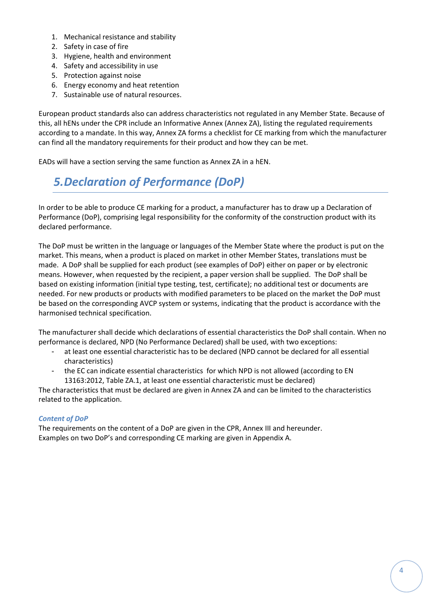- 1. Mechanical resistance and stability
- 2. Safety in case of fire
- 3. Hygiene, health and environment
- 4. Safety and accessibility in use
- 5. Protection against noise
- 6. Energy economy and heat retention
- 7. Sustainable use of natural resources.

European product standards also can address characteristics not regulated in any Member State. Because of this, all hENs under the CPR include an Informative Annex (Annex ZA), listing the regulated requirements according to a mandate. In this way, Annex ZA forms a checklist for CE marking from which the manufacturer can find all the mandatory requirements for their product and how they can be met.

<span id="page-3-0"></span>EADs will have a section serving the same function as Annex ZA in a hEN.

# *5.Declaration of Performance (DoP)*

In order to be able to produce CE marking for a product, a manufacturer has to draw up a Declaration of Performance (DoP), comprising legal responsibility for the conformity of the construction product with its declared performance.

The DoP must be written in the language or languages of the Member State where the product is put on the market. This means, when a product is placed on market in other Member States, translations must be made. A DoP shall be supplied for each product (see examples of DoP) either on paper or by electronic means. However, when requested by the recipient, a paper version shall be supplied. The DoP shall be based on existing information (initial type testing, test, certificate); no additional test or documents are needed. For new products or products with modified parameters to be placed on the market the DoP must be based on the corresponding AVCP system or systems, indicating that the product is accordance with the harmonised technical specification.

The manufacturer shall decide which declarations of essential characteristics the DoP shall contain. When no performance is declared, NPD (No Performance Declared) shall be used, with two exceptions:

- at least one essential characteristic has to be declared (NPD cannot be declared for all essential characteristics)
- the EC can indicate essential characteristics for which NPD is not allowed (according to EN 13163:2012, Table ZA.1, at least one essential characteristic must be declared)

The characteristics that must be declared are given in Annex ZA and can be limited to the characteristics related to the application.

#### *Content of DoP*

The requirements on the content of a DoP are given in the CPR, Annex III and hereunder. Examples on two DoP's and corresponding CE marking are given in Appendix A.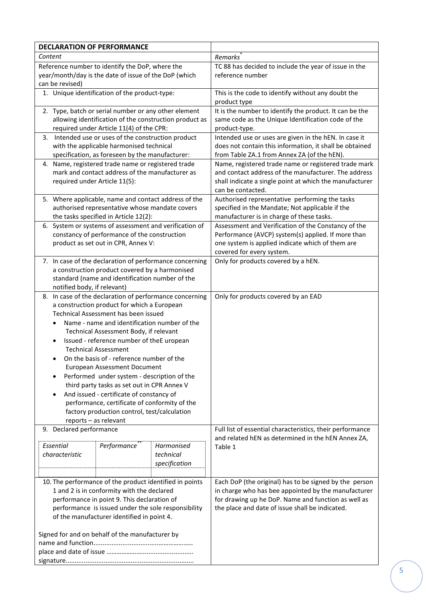| Content<br>Remarks<br>Reference number to identify the DoP, where the<br>TC 88 has decided to include the year of issue in the<br>reference number<br>year/month/day is the date of issue of the DoP (which<br>can be revised)<br>1. Unique identification of the product-type:<br>This is the code to identify without any doubt the<br>product type<br>2. Type, batch or serial number or any other element<br>It is the number to identify the product. It can be the<br>allowing identification of the construction product as<br>same code as the Unique Identification code of the<br>required under Article 11(4) of the CPR:<br>product-type.<br>3. Intended use or uses of the construction product<br>Intended use or uses are given in the hEN. In case it<br>with the applicable harmonised technical<br>does not contain this information, it shall be obtained<br>from Table ZA.1 from Annex ZA (of the hEN).<br>specification, as foreseen by the manufacturer:<br>4. Name, registered trade name or registered trade<br>Name, registered trade name or registered trade mark<br>mark and contact address of the manufacturer as<br>and contact address of the manufacturer. The address<br>required under Article 11(5):<br>shall indicate a single point at which the manufacturer<br>can be contacted.<br>5. Where applicable, name and contact address of the<br>Authorised representative performing the tasks<br>authorised representative whose mandate covers<br>specified in the Mandate; Not applicable if the<br>the tasks specified in Article 12(2):<br>manufacturer is in charge of these tasks.<br>Assessment and Verification of the Constancy of the<br>6. System or systems of assessment and verification of<br>constancy of performance of the construction<br>Performance (AVCP) system(s) applied. If more than<br>product as set out in CPR, Annex V:<br>one system is applied indicate which of them are<br>covered for every system.<br>7. In case of the declaration of performance concerning<br>Only for products covered by a hEN.<br>a construction product covered by a harmonised<br>standard (name and identification number of the<br>notified body, if relevant)<br>8. In case of the declaration of performance concerning<br>Only for products covered by an EAD<br>a construction product for which a European<br>Technical Assessment has been issued<br>Name - name and identification number of the<br>Technical Assessment Body, if relevant<br>Issued - reference number of theE uropean<br><b>Technical Assessment</b><br>On the basis of - reference number of the<br><b>European Assessment Document</b><br>Performed under system - description of the<br>third party tasks as set out in CPR Annex V<br>And issued - certificate of constancy of<br>performance, certificate of conformity of the<br>factory production control, test/calculation<br>reports - as relevant<br>9. Declared performance<br>Full list of essential characteristics, their performance<br>and related hEN as determined in the hEN Annex ZA,<br>Essential<br>Performance <sup>®</sup><br>Harmonised<br>Table 1<br>characteristic<br>technical<br>specification<br>10. The performance of the product identified in points<br>Each DoP (the original) has to be signed by the person<br>1 and 2 is in conformity with the declared<br>in charge who has bee appointed by the manufacturer<br>performance in point 9. This declaration of<br>for drawing up he DoP. Name and function as well as<br>performance is issued under the sole responsibility<br>the place and date of issue shall be indicated.<br>of the manufacturer identified in point 4.<br>Signed for and on behalf of the manufacturer by | <b>DECLARATION OF PERFORMANCE</b> |  |  |
|------------------------------------------------------------------------------------------------------------------------------------------------------------------------------------------------------------------------------------------------------------------------------------------------------------------------------------------------------------------------------------------------------------------------------------------------------------------------------------------------------------------------------------------------------------------------------------------------------------------------------------------------------------------------------------------------------------------------------------------------------------------------------------------------------------------------------------------------------------------------------------------------------------------------------------------------------------------------------------------------------------------------------------------------------------------------------------------------------------------------------------------------------------------------------------------------------------------------------------------------------------------------------------------------------------------------------------------------------------------------------------------------------------------------------------------------------------------------------------------------------------------------------------------------------------------------------------------------------------------------------------------------------------------------------------------------------------------------------------------------------------------------------------------------------------------------------------------------------------------------------------------------------------------------------------------------------------------------------------------------------------------------------------------------------------------------------------------------------------------------------------------------------------------------------------------------------------------------------------------------------------------------------------------------------------------------------------------------------------------------------------------------------------------------------------------------------------------------------------------------------------------------------------------------------------------------------------------------------------------------------------------------------------------------------------------------------------------------------------------------------------------------------------------------------------------------------------------------------------------------------------------------------------------------------------------------------------------------------------------------------------------------------------------------------------------------------------------------------------------------------------------------------------------------------------------------------------------------------------------------------------------------------------------------------------------------------------------------------------------------------------------------------------------------------------------------------------------------------------------------------------------------------------------------------------------------------------------------------------------------------------------------------------------------------------------------------------------------------------------------------|-----------------------------------|--|--|
|                                                                                                                                                                                                                                                                                                                                                                                                                                                                                                                                                                                                                                                                                                                                                                                                                                                                                                                                                                                                                                                                                                                                                                                                                                                                                                                                                                                                                                                                                                                                                                                                                                                                                                                                                                                                                                                                                                                                                                                                                                                                                                                                                                                                                                                                                                                                                                                                                                                                                                                                                                                                                                                                                                                                                                                                                                                                                                                                                                                                                                                                                                                                                                                                                                                                                                                                                                                                                                                                                                                                                                                                                                                                                                                                                      |                                   |  |  |
|                                                                                                                                                                                                                                                                                                                                                                                                                                                                                                                                                                                                                                                                                                                                                                                                                                                                                                                                                                                                                                                                                                                                                                                                                                                                                                                                                                                                                                                                                                                                                                                                                                                                                                                                                                                                                                                                                                                                                                                                                                                                                                                                                                                                                                                                                                                                                                                                                                                                                                                                                                                                                                                                                                                                                                                                                                                                                                                                                                                                                                                                                                                                                                                                                                                                                                                                                                                                                                                                                                                                                                                                                                                                                                                                                      |                                   |  |  |
|                                                                                                                                                                                                                                                                                                                                                                                                                                                                                                                                                                                                                                                                                                                                                                                                                                                                                                                                                                                                                                                                                                                                                                                                                                                                                                                                                                                                                                                                                                                                                                                                                                                                                                                                                                                                                                                                                                                                                                                                                                                                                                                                                                                                                                                                                                                                                                                                                                                                                                                                                                                                                                                                                                                                                                                                                                                                                                                                                                                                                                                                                                                                                                                                                                                                                                                                                                                                                                                                                                                                                                                                                                                                                                                                                      |                                   |  |  |
|                                                                                                                                                                                                                                                                                                                                                                                                                                                                                                                                                                                                                                                                                                                                                                                                                                                                                                                                                                                                                                                                                                                                                                                                                                                                                                                                                                                                                                                                                                                                                                                                                                                                                                                                                                                                                                                                                                                                                                                                                                                                                                                                                                                                                                                                                                                                                                                                                                                                                                                                                                                                                                                                                                                                                                                                                                                                                                                                                                                                                                                                                                                                                                                                                                                                                                                                                                                                                                                                                                                                                                                                                                                                                                                                                      |                                   |  |  |
|                                                                                                                                                                                                                                                                                                                                                                                                                                                                                                                                                                                                                                                                                                                                                                                                                                                                                                                                                                                                                                                                                                                                                                                                                                                                                                                                                                                                                                                                                                                                                                                                                                                                                                                                                                                                                                                                                                                                                                                                                                                                                                                                                                                                                                                                                                                                                                                                                                                                                                                                                                                                                                                                                                                                                                                                                                                                                                                                                                                                                                                                                                                                                                                                                                                                                                                                                                                                                                                                                                                                                                                                                                                                                                                                                      |                                   |  |  |
|                                                                                                                                                                                                                                                                                                                                                                                                                                                                                                                                                                                                                                                                                                                                                                                                                                                                                                                                                                                                                                                                                                                                                                                                                                                                                                                                                                                                                                                                                                                                                                                                                                                                                                                                                                                                                                                                                                                                                                                                                                                                                                                                                                                                                                                                                                                                                                                                                                                                                                                                                                                                                                                                                                                                                                                                                                                                                                                                                                                                                                                                                                                                                                                                                                                                                                                                                                                                                                                                                                                                                                                                                                                                                                                                                      |                                   |  |  |
|                                                                                                                                                                                                                                                                                                                                                                                                                                                                                                                                                                                                                                                                                                                                                                                                                                                                                                                                                                                                                                                                                                                                                                                                                                                                                                                                                                                                                                                                                                                                                                                                                                                                                                                                                                                                                                                                                                                                                                                                                                                                                                                                                                                                                                                                                                                                                                                                                                                                                                                                                                                                                                                                                                                                                                                                                                                                                                                                                                                                                                                                                                                                                                                                                                                                                                                                                                                                                                                                                                                                                                                                                                                                                                                                                      |                                   |  |  |
|                                                                                                                                                                                                                                                                                                                                                                                                                                                                                                                                                                                                                                                                                                                                                                                                                                                                                                                                                                                                                                                                                                                                                                                                                                                                                                                                                                                                                                                                                                                                                                                                                                                                                                                                                                                                                                                                                                                                                                                                                                                                                                                                                                                                                                                                                                                                                                                                                                                                                                                                                                                                                                                                                                                                                                                                                                                                                                                                                                                                                                                                                                                                                                                                                                                                                                                                                                                                                                                                                                                                                                                                                                                                                                                                                      |                                   |  |  |
|                                                                                                                                                                                                                                                                                                                                                                                                                                                                                                                                                                                                                                                                                                                                                                                                                                                                                                                                                                                                                                                                                                                                                                                                                                                                                                                                                                                                                                                                                                                                                                                                                                                                                                                                                                                                                                                                                                                                                                                                                                                                                                                                                                                                                                                                                                                                                                                                                                                                                                                                                                                                                                                                                                                                                                                                                                                                                                                                                                                                                                                                                                                                                                                                                                                                                                                                                                                                                                                                                                                                                                                                                                                                                                                                                      |                                   |  |  |
|                                                                                                                                                                                                                                                                                                                                                                                                                                                                                                                                                                                                                                                                                                                                                                                                                                                                                                                                                                                                                                                                                                                                                                                                                                                                                                                                                                                                                                                                                                                                                                                                                                                                                                                                                                                                                                                                                                                                                                                                                                                                                                                                                                                                                                                                                                                                                                                                                                                                                                                                                                                                                                                                                                                                                                                                                                                                                                                                                                                                                                                                                                                                                                                                                                                                                                                                                                                                                                                                                                                                                                                                                                                                                                                                                      |                                   |  |  |
|                                                                                                                                                                                                                                                                                                                                                                                                                                                                                                                                                                                                                                                                                                                                                                                                                                                                                                                                                                                                                                                                                                                                                                                                                                                                                                                                                                                                                                                                                                                                                                                                                                                                                                                                                                                                                                                                                                                                                                                                                                                                                                                                                                                                                                                                                                                                                                                                                                                                                                                                                                                                                                                                                                                                                                                                                                                                                                                                                                                                                                                                                                                                                                                                                                                                                                                                                                                                                                                                                                                                                                                                                                                                                                                                                      |                                   |  |  |
|                                                                                                                                                                                                                                                                                                                                                                                                                                                                                                                                                                                                                                                                                                                                                                                                                                                                                                                                                                                                                                                                                                                                                                                                                                                                                                                                                                                                                                                                                                                                                                                                                                                                                                                                                                                                                                                                                                                                                                                                                                                                                                                                                                                                                                                                                                                                                                                                                                                                                                                                                                                                                                                                                                                                                                                                                                                                                                                                                                                                                                                                                                                                                                                                                                                                                                                                                                                                                                                                                                                                                                                                                                                                                                                                                      |                                   |  |  |
|                                                                                                                                                                                                                                                                                                                                                                                                                                                                                                                                                                                                                                                                                                                                                                                                                                                                                                                                                                                                                                                                                                                                                                                                                                                                                                                                                                                                                                                                                                                                                                                                                                                                                                                                                                                                                                                                                                                                                                                                                                                                                                                                                                                                                                                                                                                                                                                                                                                                                                                                                                                                                                                                                                                                                                                                                                                                                                                                                                                                                                                                                                                                                                                                                                                                                                                                                                                                                                                                                                                                                                                                                                                                                                                                                      |                                   |  |  |
|                                                                                                                                                                                                                                                                                                                                                                                                                                                                                                                                                                                                                                                                                                                                                                                                                                                                                                                                                                                                                                                                                                                                                                                                                                                                                                                                                                                                                                                                                                                                                                                                                                                                                                                                                                                                                                                                                                                                                                                                                                                                                                                                                                                                                                                                                                                                                                                                                                                                                                                                                                                                                                                                                                                                                                                                                                                                                                                                                                                                                                                                                                                                                                                                                                                                                                                                                                                                                                                                                                                                                                                                                                                                                                                                                      |                                   |  |  |
|                                                                                                                                                                                                                                                                                                                                                                                                                                                                                                                                                                                                                                                                                                                                                                                                                                                                                                                                                                                                                                                                                                                                                                                                                                                                                                                                                                                                                                                                                                                                                                                                                                                                                                                                                                                                                                                                                                                                                                                                                                                                                                                                                                                                                                                                                                                                                                                                                                                                                                                                                                                                                                                                                                                                                                                                                                                                                                                                                                                                                                                                                                                                                                                                                                                                                                                                                                                                                                                                                                                                                                                                                                                                                                                                                      |                                   |  |  |
|                                                                                                                                                                                                                                                                                                                                                                                                                                                                                                                                                                                                                                                                                                                                                                                                                                                                                                                                                                                                                                                                                                                                                                                                                                                                                                                                                                                                                                                                                                                                                                                                                                                                                                                                                                                                                                                                                                                                                                                                                                                                                                                                                                                                                                                                                                                                                                                                                                                                                                                                                                                                                                                                                                                                                                                                                                                                                                                                                                                                                                                                                                                                                                                                                                                                                                                                                                                                                                                                                                                                                                                                                                                                                                                                                      |                                   |  |  |
|                                                                                                                                                                                                                                                                                                                                                                                                                                                                                                                                                                                                                                                                                                                                                                                                                                                                                                                                                                                                                                                                                                                                                                                                                                                                                                                                                                                                                                                                                                                                                                                                                                                                                                                                                                                                                                                                                                                                                                                                                                                                                                                                                                                                                                                                                                                                                                                                                                                                                                                                                                                                                                                                                                                                                                                                                                                                                                                                                                                                                                                                                                                                                                                                                                                                                                                                                                                                                                                                                                                                                                                                                                                                                                                                                      |                                   |  |  |
|                                                                                                                                                                                                                                                                                                                                                                                                                                                                                                                                                                                                                                                                                                                                                                                                                                                                                                                                                                                                                                                                                                                                                                                                                                                                                                                                                                                                                                                                                                                                                                                                                                                                                                                                                                                                                                                                                                                                                                                                                                                                                                                                                                                                                                                                                                                                                                                                                                                                                                                                                                                                                                                                                                                                                                                                                                                                                                                                                                                                                                                                                                                                                                                                                                                                                                                                                                                                                                                                                                                                                                                                                                                                                                                                                      |                                   |  |  |
|                                                                                                                                                                                                                                                                                                                                                                                                                                                                                                                                                                                                                                                                                                                                                                                                                                                                                                                                                                                                                                                                                                                                                                                                                                                                                                                                                                                                                                                                                                                                                                                                                                                                                                                                                                                                                                                                                                                                                                                                                                                                                                                                                                                                                                                                                                                                                                                                                                                                                                                                                                                                                                                                                                                                                                                                                                                                                                                                                                                                                                                                                                                                                                                                                                                                                                                                                                                                                                                                                                                                                                                                                                                                                                                                                      |                                   |  |  |
|                                                                                                                                                                                                                                                                                                                                                                                                                                                                                                                                                                                                                                                                                                                                                                                                                                                                                                                                                                                                                                                                                                                                                                                                                                                                                                                                                                                                                                                                                                                                                                                                                                                                                                                                                                                                                                                                                                                                                                                                                                                                                                                                                                                                                                                                                                                                                                                                                                                                                                                                                                                                                                                                                                                                                                                                                                                                                                                                                                                                                                                                                                                                                                                                                                                                                                                                                                                                                                                                                                                                                                                                                                                                                                                                                      |                                   |  |  |
|                                                                                                                                                                                                                                                                                                                                                                                                                                                                                                                                                                                                                                                                                                                                                                                                                                                                                                                                                                                                                                                                                                                                                                                                                                                                                                                                                                                                                                                                                                                                                                                                                                                                                                                                                                                                                                                                                                                                                                                                                                                                                                                                                                                                                                                                                                                                                                                                                                                                                                                                                                                                                                                                                                                                                                                                                                                                                                                                                                                                                                                                                                                                                                                                                                                                                                                                                                                                                                                                                                                                                                                                                                                                                                                                                      |                                   |  |  |
|                                                                                                                                                                                                                                                                                                                                                                                                                                                                                                                                                                                                                                                                                                                                                                                                                                                                                                                                                                                                                                                                                                                                                                                                                                                                                                                                                                                                                                                                                                                                                                                                                                                                                                                                                                                                                                                                                                                                                                                                                                                                                                                                                                                                                                                                                                                                                                                                                                                                                                                                                                                                                                                                                                                                                                                                                                                                                                                                                                                                                                                                                                                                                                                                                                                                                                                                                                                                                                                                                                                                                                                                                                                                                                                                                      |                                   |  |  |
|                                                                                                                                                                                                                                                                                                                                                                                                                                                                                                                                                                                                                                                                                                                                                                                                                                                                                                                                                                                                                                                                                                                                                                                                                                                                                                                                                                                                                                                                                                                                                                                                                                                                                                                                                                                                                                                                                                                                                                                                                                                                                                                                                                                                                                                                                                                                                                                                                                                                                                                                                                                                                                                                                                                                                                                                                                                                                                                                                                                                                                                                                                                                                                                                                                                                                                                                                                                                                                                                                                                                                                                                                                                                                                                                                      |                                   |  |  |
|                                                                                                                                                                                                                                                                                                                                                                                                                                                                                                                                                                                                                                                                                                                                                                                                                                                                                                                                                                                                                                                                                                                                                                                                                                                                                                                                                                                                                                                                                                                                                                                                                                                                                                                                                                                                                                                                                                                                                                                                                                                                                                                                                                                                                                                                                                                                                                                                                                                                                                                                                                                                                                                                                                                                                                                                                                                                                                                                                                                                                                                                                                                                                                                                                                                                                                                                                                                                                                                                                                                                                                                                                                                                                                                                                      |                                   |  |  |
|                                                                                                                                                                                                                                                                                                                                                                                                                                                                                                                                                                                                                                                                                                                                                                                                                                                                                                                                                                                                                                                                                                                                                                                                                                                                                                                                                                                                                                                                                                                                                                                                                                                                                                                                                                                                                                                                                                                                                                                                                                                                                                                                                                                                                                                                                                                                                                                                                                                                                                                                                                                                                                                                                                                                                                                                                                                                                                                                                                                                                                                                                                                                                                                                                                                                                                                                                                                                                                                                                                                                                                                                                                                                                                                                                      |                                   |  |  |
|                                                                                                                                                                                                                                                                                                                                                                                                                                                                                                                                                                                                                                                                                                                                                                                                                                                                                                                                                                                                                                                                                                                                                                                                                                                                                                                                                                                                                                                                                                                                                                                                                                                                                                                                                                                                                                                                                                                                                                                                                                                                                                                                                                                                                                                                                                                                                                                                                                                                                                                                                                                                                                                                                                                                                                                                                                                                                                                                                                                                                                                                                                                                                                                                                                                                                                                                                                                                                                                                                                                                                                                                                                                                                                                                                      |                                   |  |  |
|                                                                                                                                                                                                                                                                                                                                                                                                                                                                                                                                                                                                                                                                                                                                                                                                                                                                                                                                                                                                                                                                                                                                                                                                                                                                                                                                                                                                                                                                                                                                                                                                                                                                                                                                                                                                                                                                                                                                                                                                                                                                                                                                                                                                                                                                                                                                                                                                                                                                                                                                                                                                                                                                                                                                                                                                                                                                                                                                                                                                                                                                                                                                                                                                                                                                                                                                                                                                                                                                                                                                                                                                                                                                                                                                                      |                                   |  |  |
|                                                                                                                                                                                                                                                                                                                                                                                                                                                                                                                                                                                                                                                                                                                                                                                                                                                                                                                                                                                                                                                                                                                                                                                                                                                                                                                                                                                                                                                                                                                                                                                                                                                                                                                                                                                                                                                                                                                                                                                                                                                                                                                                                                                                                                                                                                                                                                                                                                                                                                                                                                                                                                                                                                                                                                                                                                                                                                                                                                                                                                                                                                                                                                                                                                                                                                                                                                                                                                                                                                                                                                                                                                                                                                                                                      |                                   |  |  |
|                                                                                                                                                                                                                                                                                                                                                                                                                                                                                                                                                                                                                                                                                                                                                                                                                                                                                                                                                                                                                                                                                                                                                                                                                                                                                                                                                                                                                                                                                                                                                                                                                                                                                                                                                                                                                                                                                                                                                                                                                                                                                                                                                                                                                                                                                                                                                                                                                                                                                                                                                                                                                                                                                                                                                                                                                                                                                                                                                                                                                                                                                                                                                                                                                                                                                                                                                                                                                                                                                                                                                                                                                                                                                                                                                      |                                   |  |  |
|                                                                                                                                                                                                                                                                                                                                                                                                                                                                                                                                                                                                                                                                                                                                                                                                                                                                                                                                                                                                                                                                                                                                                                                                                                                                                                                                                                                                                                                                                                                                                                                                                                                                                                                                                                                                                                                                                                                                                                                                                                                                                                                                                                                                                                                                                                                                                                                                                                                                                                                                                                                                                                                                                                                                                                                                                                                                                                                                                                                                                                                                                                                                                                                                                                                                                                                                                                                                                                                                                                                                                                                                                                                                                                                                                      |                                   |  |  |
|                                                                                                                                                                                                                                                                                                                                                                                                                                                                                                                                                                                                                                                                                                                                                                                                                                                                                                                                                                                                                                                                                                                                                                                                                                                                                                                                                                                                                                                                                                                                                                                                                                                                                                                                                                                                                                                                                                                                                                                                                                                                                                                                                                                                                                                                                                                                                                                                                                                                                                                                                                                                                                                                                                                                                                                                                                                                                                                                                                                                                                                                                                                                                                                                                                                                                                                                                                                                                                                                                                                                                                                                                                                                                                                                                      |                                   |  |  |
|                                                                                                                                                                                                                                                                                                                                                                                                                                                                                                                                                                                                                                                                                                                                                                                                                                                                                                                                                                                                                                                                                                                                                                                                                                                                                                                                                                                                                                                                                                                                                                                                                                                                                                                                                                                                                                                                                                                                                                                                                                                                                                                                                                                                                                                                                                                                                                                                                                                                                                                                                                                                                                                                                                                                                                                                                                                                                                                                                                                                                                                                                                                                                                                                                                                                                                                                                                                                                                                                                                                                                                                                                                                                                                                                                      |                                   |  |  |
|                                                                                                                                                                                                                                                                                                                                                                                                                                                                                                                                                                                                                                                                                                                                                                                                                                                                                                                                                                                                                                                                                                                                                                                                                                                                                                                                                                                                                                                                                                                                                                                                                                                                                                                                                                                                                                                                                                                                                                                                                                                                                                                                                                                                                                                                                                                                                                                                                                                                                                                                                                                                                                                                                                                                                                                                                                                                                                                                                                                                                                                                                                                                                                                                                                                                                                                                                                                                                                                                                                                                                                                                                                                                                                                                                      |                                   |  |  |
|                                                                                                                                                                                                                                                                                                                                                                                                                                                                                                                                                                                                                                                                                                                                                                                                                                                                                                                                                                                                                                                                                                                                                                                                                                                                                                                                                                                                                                                                                                                                                                                                                                                                                                                                                                                                                                                                                                                                                                                                                                                                                                                                                                                                                                                                                                                                                                                                                                                                                                                                                                                                                                                                                                                                                                                                                                                                                                                                                                                                                                                                                                                                                                                                                                                                                                                                                                                                                                                                                                                                                                                                                                                                                                                                                      |                                   |  |  |
|                                                                                                                                                                                                                                                                                                                                                                                                                                                                                                                                                                                                                                                                                                                                                                                                                                                                                                                                                                                                                                                                                                                                                                                                                                                                                                                                                                                                                                                                                                                                                                                                                                                                                                                                                                                                                                                                                                                                                                                                                                                                                                                                                                                                                                                                                                                                                                                                                                                                                                                                                                                                                                                                                                                                                                                                                                                                                                                                                                                                                                                                                                                                                                                                                                                                                                                                                                                                                                                                                                                                                                                                                                                                                                                                                      |                                   |  |  |
|                                                                                                                                                                                                                                                                                                                                                                                                                                                                                                                                                                                                                                                                                                                                                                                                                                                                                                                                                                                                                                                                                                                                                                                                                                                                                                                                                                                                                                                                                                                                                                                                                                                                                                                                                                                                                                                                                                                                                                                                                                                                                                                                                                                                                                                                                                                                                                                                                                                                                                                                                                                                                                                                                                                                                                                                                                                                                                                                                                                                                                                                                                                                                                                                                                                                                                                                                                                                                                                                                                                                                                                                                                                                                                                                                      |                                   |  |  |
|                                                                                                                                                                                                                                                                                                                                                                                                                                                                                                                                                                                                                                                                                                                                                                                                                                                                                                                                                                                                                                                                                                                                                                                                                                                                                                                                                                                                                                                                                                                                                                                                                                                                                                                                                                                                                                                                                                                                                                                                                                                                                                                                                                                                                                                                                                                                                                                                                                                                                                                                                                                                                                                                                                                                                                                                                                                                                                                                                                                                                                                                                                                                                                                                                                                                                                                                                                                                                                                                                                                                                                                                                                                                                                                                                      |                                   |  |  |
|                                                                                                                                                                                                                                                                                                                                                                                                                                                                                                                                                                                                                                                                                                                                                                                                                                                                                                                                                                                                                                                                                                                                                                                                                                                                                                                                                                                                                                                                                                                                                                                                                                                                                                                                                                                                                                                                                                                                                                                                                                                                                                                                                                                                                                                                                                                                                                                                                                                                                                                                                                                                                                                                                                                                                                                                                                                                                                                                                                                                                                                                                                                                                                                                                                                                                                                                                                                                                                                                                                                                                                                                                                                                                                                                                      |                                   |  |  |
|                                                                                                                                                                                                                                                                                                                                                                                                                                                                                                                                                                                                                                                                                                                                                                                                                                                                                                                                                                                                                                                                                                                                                                                                                                                                                                                                                                                                                                                                                                                                                                                                                                                                                                                                                                                                                                                                                                                                                                                                                                                                                                                                                                                                                                                                                                                                                                                                                                                                                                                                                                                                                                                                                                                                                                                                                                                                                                                                                                                                                                                                                                                                                                                                                                                                                                                                                                                                                                                                                                                                                                                                                                                                                                                                                      |                                   |  |  |
|                                                                                                                                                                                                                                                                                                                                                                                                                                                                                                                                                                                                                                                                                                                                                                                                                                                                                                                                                                                                                                                                                                                                                                                                                                                                                                                                                                                                                                                                                                                                                                                                                                                                                                                                                                                                                                                                                                                                                                                                                                                                                                                                                                                                                                                                                                                                                                                                                                                                                                                                                                                                                                                                                                                                                                                                                                                                                                                                                                                                                                                                                                                                                                                                                                                                                                                                                                                                                                                                                                                                                                                                                                                                                                                                                      |                                   |  |  |
|                                                                                                                                                                                                                                                                                                                                                                                                                                                                                                                                                                                                                                                                                                                                                                                                                                                                                                                                                                                                                                                                                                                                                                                                                                                                                                                                                                                                                                                                                                                                                                                                                                                                                                                                                                                                                                                                                                                                                                                                                                                                                                                                                                                                                                                                                                                                                                                                                                                                                                                                                                                                                                                                                                                                                                                                                                                                                                                                                                                                                                                                                                                                                                                                                                                                                                                                                                                                                                                                                                                                                                                                                                                                                                                                                      |                                   |  |  |
|                                                                                                                                                                                                                                                                                                                                                                                                                                                                                                                                                                                                                                                                                                                                                                                                                                                                                                                                                                                                                                                                                                                                                                                                                                                                                                                                                                                                                                                                                                                                                                                                                                                                                                                                                                                                                                                                                                                                                                                                                                                                                                                                                                                                                                                                                                                                                                                                                                                                                                                                                                                                                                                                                                                                                                                                                                                                                                                                                                                                                                                                                                                                                                                                                                                                                                                                                                                                                                                                                                                                                                                                                                                                                                                                                      |                                   |  |  |
|                                                                                                                                                                                                                                                                                                                                                                                                                                                                                                                                                                                                                                                                                                                                                                                                                                                                                                                                                                                                                                                                                                                                                                                                                                                                                                                                                                                                                                                                                                                                                                                                                                                                                                                                                                                                                                                                                                                                                                                                                                                                                                                                                                                                                                                                                                                                                                                                                                                                                                                                                                                                                                                                                                                                                                                                                                                                                                                                                                                                                                                                                                                                                                                                                                                                                                                                                                                                                                                                                                                                                                                                                                                                                                                                                      |                                   |  |  |
|                                                                                                                                                                                                                                                                                                                                                                                                                                                                                                                                                                                                                                                                                                                                                                                                                                                                                                                                                                                                                                                                                                                                                                                                                                                                                                                                                                                                                                                                                                                                                                                                                                                                                                                                                                                                                                                                                                                                                                                                                                                                                                                                                                                                                                                                                                                                                                                                                                                                                                                                                                                                                                                                                                                                                                                                                                                                                                                                                                                                                                                                                                                                                                                                                                                                                                                                                                                                                                                                                                                                                                                                                                                                                                                                                      |                                   |  |  |
|                                                                                                                                                                                                                                                                                                                                                                                                                                                                                                                                                                                                                                                                                                                                                                                                                                                                                                                                                                                                                                                                                                                                                                                                                                                                                                                                                                                                                                                                                                                                                                                                                                                                                                                                                                                                                                                                                                                                                                                                                                                                                                                                                                                                                                                                                                                                                                                                                                                                                                                                                                                                                                                                                                                                                                                                                                                                                                                                                                                                                                                                                                                                                                                                                                                                                                                                                                                                                                                                                                                                                                                                                                                                                                                                                      |                                   |  |  |
|                                                                                                                                                                                                                                                                                                                                                                                                                                                                                                                                                                                                                                                                                                                                                                                                                                                                                                                                                                                                                                                                                                                                                                                                                                                                                                                                                                                                                                                                                                                                                                                                                                                                                                                                                                                                                                                                                                                                                                                                                                                                                                                                                                                                                                                                                                                                                                                                                                                                                                                                                                                                                                                                                                                                                                                                                                                                                                                                                                                                                                                                                                                                                                                                                                                                                                                                                                                                                                                                                                                                                                                                                                                                                                                                                      |                                   |  |  |
|                                                                                                                                                                                                                                                                                                                                                                                                                                                                                                                                                                                                                                                                                                                                                                                                                                                                                                                                                                                                                                                                                                                                                                                                                                                                                                                                                                                                                                                                                                                                                                                                                                                                                                                                                                                                                                                                                                                                                                                                                                                                                                                                                                                                                                                                                                                                                                                                                                                                                                                                                                                                                                                                                                                                                                                                                                                                                                                                                                                                                                                                                                                                                                                                                                                                                                                                                                                                                                                                                                                                                                                                                                                                                                                                                      |                                   |  |  |
|                                                                                                                                                                                                                                                                                                                                                                                                                                                                                                                                                                                                                                                                                                                                                                                                                                                                                                                                                                                                                                                                                                                                                                                                                                                                                                                                                                                                                                                                                                                                                                                                                                                                                                                                                                                                                                                                                                                                                                                                                                                                                                                                                                                                                                                                                                                                                                                                                                                                                                                                                                                                                                                                                                                                                                                                                                                                                                                                                                                                                                                                                                                                                                                                                                                                                                                                                                                                                                                                                                                                                                                                                                                                                                                                                      |                                   |  |  |
|                                                                                                                                                                                                                                                                                                                                                                                                                                                                                                                                                                                                                                                                                                                                                                                                                                                                                                                                                                                                                                                                                                                                                                                                                                                                                                                                                                                                                                                                                                                                                                                                                                                                                                                                                                                                                                                                                                                                                                                                                                                                                                                                                                                                                                                                                                                                                                                                                                                                                                                                                                                                                                                                                                                                                                                                                                                                                                                                                                                                                                                                                                                                                                                                                                                                                                                                                                                                                                                                                                                                                                                                                                                                                                                                                      |                                   |  |  |
|                                                                                                                                                                                                                                                                                                                                                                                                                                                                                                                                                                                                                                                                                                                                                                                                                                                                                                                                                                                                                                                                                                                                                                                                                                                                                                                                                                                                                                                                                                                                                                                                                                                                                                                                                                                                                                                                                                                                                                                                                                                                                                                                                                                                                                                                                                                                                                                                                                                                                                                                                                                                                                                                                                                                                                                                                                                                                                                                                                                                                                                                                                                                                                                                                                                                                                                                                                                                                                                                                                                                                                                                                                                                                                                                                      |                                   |  |  |
|                                                                                                                                                                                                                                                                                                                                                                                                                                                                                                                                                                                                                                                                                                                                                                                                                                                                                                                                                                                                                                                                                                                                                                                                                                                                                                                                                                                                                                                                                                                                                                                                                                                                                                                                                                                                                                                                                                                                                                                                                                                                                                                                                                                                                                                                                                                                                                                                                                                                                                                                                                                                                                                                                                                                                                                                                                                                                                                                                                                                                                                                                                                                                                                                                                                                                                                                                                                                                                                                                                                                                                                                                                                                                                                                                      |                                   |  |  |
|                                                                                                                                                                                                                                                                                                                                                                                                                                                                                                                                                                                                                                                                                                                                                                                                                                                                                                                                                                                                                                                                                                                                                                                                                                                                                                                                                                                                                                                                                                                                                                                                                                                                                                                                                                                                                                                                                                                                                                                                                                                                                                                                                                                                                                                                                                                                                                                                                                                                                                                                                                                                                                                                                                                                                                                                                                                                                                                                                                                                                                                                                                                                                                                                                                                                                                                                                                                                                                                                                                                                                                                                                                                                                                                                                      |                                   |  |  |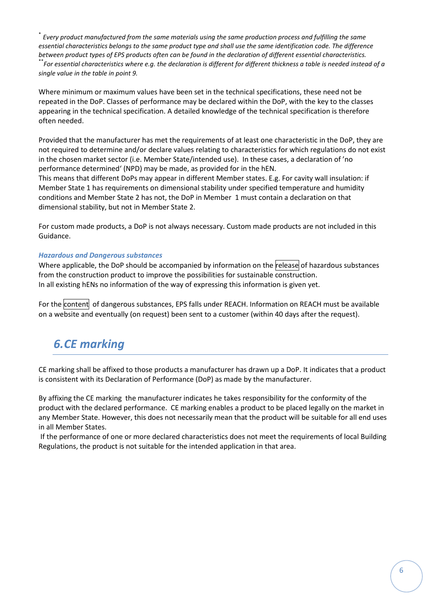\* *Every product manufactured from the same materials using the same production process and fulfilling the same essential characteristics belongs to the same product type and shall use the same identification code. The difference between product types of EPS products often can be found in the declaration of different essential characteristics.* \*\**For essential characteristics where e.g. the declaration is different for different thickness a table is needed instead of a single value in the table in point 9.*

Where minimum or maximum values have been set in the technical specifications, these need not be repeated in the DoP. Classes of performance may be declared within the DoP, with the key to the classes appearing in the technical specification. A detailed knowledge of the technical specification is therefore often needed.

Provided that the manufacturer has met the requirements of at least one characteristic in the DoP, they are not required to determine and/or declare values relating to characteristics for which regulations do not exist in the chosen market sector (i.e. Member State/intended use). In these cases, a declaration of 'no performance determined' (NPD) may be made, as provided for in the hEN.

This means that different DoPs may appear in different Member states. E.g. For cavity wall insulation: if Member State 1 has requirements on dimensional stability under specified temperature and humidity conditions and Member State 2 has not, the DoP in Member 1 must contain a declaration on that dimensional stability, but not in Member State 2.

For custom made products, a DoP is not always necessary. Custom made products are not included in this Guidance.

#### *Hazardous and Dangerous substances*

Where applicable, the DoP should be accompanied by information on the release of hazardous substances from the construction product to improve the possibilities for sustainable construction. In all existing hENs no information of the way of expressing this information is given yet.

For the content of dangerous substances, EPS falls under REACH. Information on REACH must be available on a website and eventually (on request) been sent to a customer (within 40 days after the request).

### <span id="page-5-0"></span>*6.CE marking*

CE marking shall be affixed to those products a manufacturer has drawn up a DoP. It indicates that a product is consistent with its Declaration of Performance (DoP) as made by the manufacturer.

By affixing the CE marking the manufacturer indicates he takes responsibility for the conformity of the product with the declared performance. CE marking enables a product to be placed legally on the market in any Member State. However, this does not necessarily mean that the product will be suitable for all end uses in all Member States.

If the performance of one or more declared characteristics does not meet the requirements of local Building Regulations, the product is not suitable for the intended application in that area.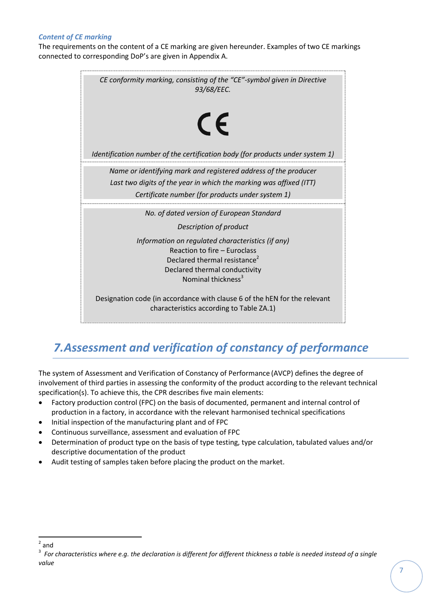#### *Content of CE marking*

The requirements on the content of a CE marking are given hereunder. Examples of two CE markings connected to corresponding DoP's are given in Appendix A.



## <span id="page-6-0"></span>*7.Assessment and verification of constancy of performance*

The system of Assessment and Verification of Constancy of Performance (AVCP) defines the degree of involvement of third parties in assessing the conformity of the product according to the relevant technical specification(s). To achieve this, the CPR describes five main elements:

- Factory production control (FPC) on the basis of documented, permanent and internal control of production in a factory, in accordance with the relevant harmonised technical specifications
- Initial inspection of the manufacturing plant and of FPC
- Continuous surveillance, assessment and evaluation of FPC
- Determination of product type on the basis of type testing, type calculation, tabulated values and/or descriptive documentation of the product
- Audit testing of samples taken before placing the product on the market.

 $\overline{a}$ 

<sup>2</sup> and

 $^3$  For characteristics where e.g. the declaration is different for different thickness a table is needed instead of a single *value*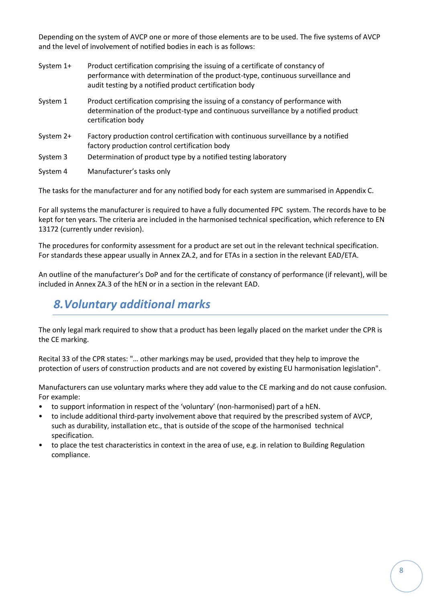Depending on the system of AVCP one or more of those elements are to be used. The five systems of AVCP and the level of involvement of notified bodies in each is as follows:

- System 1+ Product certification comprising the issuing of a certificate of constancy of performance with determination of the product-type, continuous surveillance and audit testing by a notified product certification body
- System 1 Product certification comprising the issuing of a constancy of performance with determination of the product-type and continuous surveillance by a notified product certification body
- System 2+ Factory production control certification with continuous surveillance by a notified factory production control certification body
- System 3 Determination of product type by a notified testing laboratory
- System 4 Manufacturer's tasks only

The tasks for the manufacturer and for any notified body for each system are summarised in Appendix C.

For all systems the manufacturer is required to have a fully documented FPC system. The records have to be kept for ten years. The criteria are included in the harmonised technical specification, which reference to EN 13172 (currently under revision).

The procedures for conformity assessment for a product are set out in the relevant technical specification. For standards these appear usually in Annex ZA.2, and for ETAs in a section in the relevant EAD/ETA.

An outline of the manufacturer's DoP and for the certificate of constancy of performance (if relevant), will be included in Annex ZA.3 of the hEN or in a section in the relevant EAD.

### <span id="page-7-0"></span>*8.Voluntary additional marks*

The only legal mark required to show that a product has been legally placed on the market under the CPR is the CE marking.

Recital 33 of the CPR states: "… other markings may be used, provided that they help to improve the protection of users of construction products and are not covered by existing EU harmonisation legislation".

Manufacturers can use voluntary marks where they add value to the CE marking and do not cause confusion. For example:

- to support information in respect of the 'voluntary' (non-harmonised) part of a hEN.
- to include additional third-party involvement above that required by the prescribed system of AVCP, such as durability, installation etc., that is outside of the scope of the harmonised technical specification.
- to place the test characteristics in context in the area of use, e.g. in relation to Building Regulation compliance.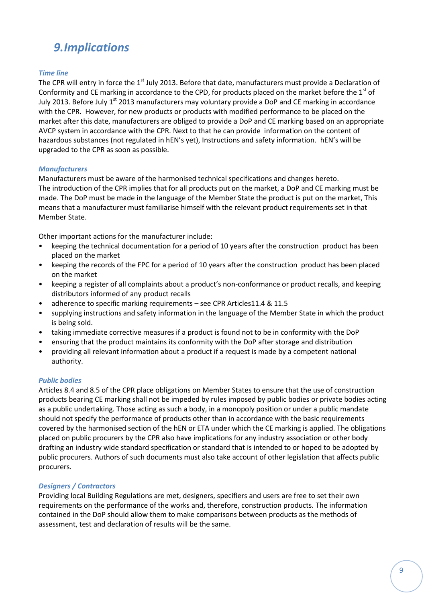## <span id="page-8-0"></span>*9.Implications*

#### *Time line*

The CPR will entry in force the 1<sup>st</sup> July 2013. Before that date, manufacturers must provide a Declaration of Conformity and CE marking in accordance to the CPD, for products placed on the market before the 1<sup>st</sup> of July 2013. Before July 1<sup>st</sup> 2013 manufacturers may voluntary provide a DoP and CE marking in accordance with the CPR. However, for new products or products with modified performance to be placed on the market after this date, manufacturers are obliged to provide a DoP and CE marking based on an appropriate AVCP system in accordance with the CPR. Next to that he can provide information on the content of hazardous substances (not regulated in hEN's yet), Instructions and safety information. hEN's will be upgraded to the CPR as soon as possible.

#### *Manufacturers*

Manufacturers must be aware of the harmonised technical specifications and changes hereto. The introduction of the CPR implies that for all products put on the market, a DoP and CE marking must be made. The DoP must be made in the language of the Member State the product is put on the market, This means that a manufacturer must familiarise himself with the relevant product requirements set in that Member State.

Other important actions for the manufacturer include:

- keeping the technical documentation for a period of 10 years after the construction product has been placed on the market
- keeping the records of the FPC for a period of 10 years after the construction product has been placed on the market
- keeping a register of all complaints about a product's non-conformance or product recalls, and keeping distributors informed of any product recalls
- adherence to specific marking requirements see CPR Articles11.4 & 11.5
- supplying instructions and safety information in the language of the Member State in which the product is being sold.
- taking immediate corrective measures if a product is found not to be in conformity with the DoP
- ensuring that the product maintains its conformity with the DoP after storage and distribution
- providing all relevant information about a product if a request is made by a competent national authority.

#### *Public bodies*

Articles 8.4 and 8.5 of the CPR place obligations on Member States to ensure that the use of construction products bearing CE marking shall not be impeded by rules imposed by public bodies or private bodies acting as a public undertaking. Those acting as such a body, in a monopoly position or under a public mandate should not specify the performance of products other than in accordance with the basic requirements covered by the harmonised section of the hEN or ETA under which the CE marking is applied. The obligations placed on public procurers by the CPR also have implications for any industry association or other body drafting an industry wide standard specification or standard that is intended to or hoped to be adopted by public procurers. Authors of such documents must also take account of other legislation that affects public procurers.

#### *Designers / Contractors*

Providing local Building Regulations are met, designers, specifiers and users are free to set their own requirements on the performance of the works and, therefore, construction products. The information contained in the DoP should allow them to make comparisons between products as the methods of assessment, test and declaration of results will be the same.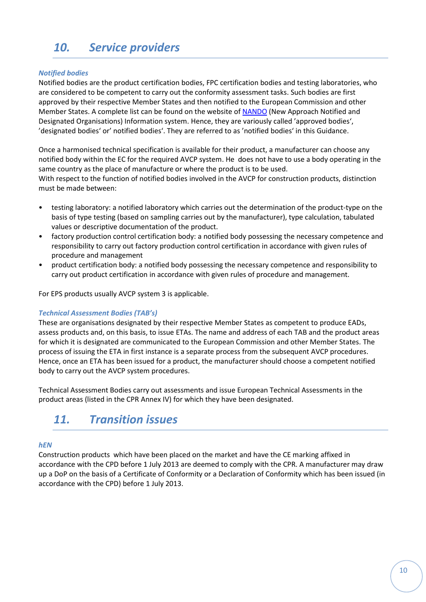# <span id="page-9-0"></span>*10. Service providers*

#### *Notified bodies*

Notified bodies are the product certification bodies, FPC certification bodies and testing laboratories, who are considered to be competent to carry out the conformity assessment tasks. Such bodies are first approved by their respective Member States and then notified to the European Commission and other Member States. A complete list can be found on the website o[f NANDO](http://ec.europa.eu/enterprise/newapproach/nando/) (New Approach Notified and Designated Organisations) Information system. Hence, they are variously called 'approved bodies', 'designated bodies' or' notified bodies'. They are referred to as 'notified bodies' in this Guidance.

Once a harmonised technical specification is available for their product, a manufacturer can choose any notified body within the EC for the required AVCP system. He does not have to use a body operating in the same country as the place of manufacture or where the product is to be used.

With respect to the function of notified bodies involved in the AVCP for construction products, distinction must be made between:

- testing laboratory: a notified laboratory which carries out the determination of the product-type on the basis of type testing (based on sampling carries out by the manufacturer), type calculation, tabulated values or descriptive documentation of the product.
- factory production control certification body: a notified body possessing the necessary competence and responsibility to carry out factory production control certification in accordance with given rules of procedure and management
- product certification body: a notified body possessing the necessary competence and responsibility to carry out product certification in accordance with given rules of procedure and management.

For EPS products usually AVCP system 3 is applicable.

#### *Technical Assessment Bodies (TAB's)*

These are organisations designated by their respective Member States as competent to produce EADs, assess products and, on this basis, to issue ETAs. The name and address of each TAB and the product areas for which it is designated are communicated to the European Commission and other Member States. The process of issuing the ETA in first instance is a separate process from the subsequent AVCP procedures. Hence, once an ETA has been issued for a product, the manufacturer should choose a competent notified body to carry out the AVCP system procedures.

<span id="page-9-1"></span>Technical Assessment Bodies carry out assessments and issue European Technical Assessments in the product areas (listed in the CPR Annex IV) for which they have been designated.

### *11. Transition issues*

#### *hEN*

Construction products which have been placed on the market and have the CE marking affixed in accordance with the CPD before 1 July 2013 are deemed to comply with the CPR. A manufacturer may draw up a DoP on the basis of a Certificate of Conformity or a Declaration of Conformity which has been issued (in accordance with the CPD) before 1 July 2013.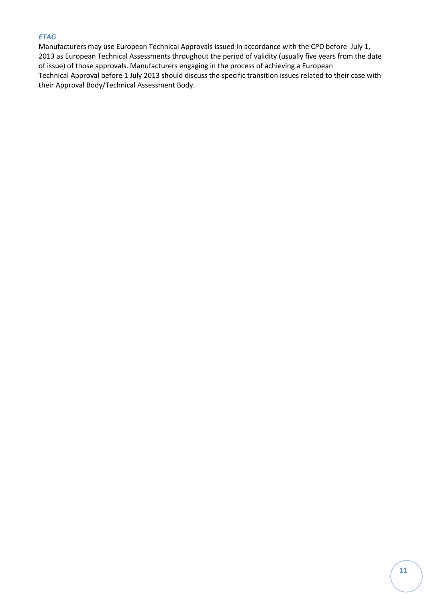#### *ETAG*

<span id="page-10-0"></span>Manufacturers may use European Technical Approvals issued in accordance with the CPD before July 1, 2013 as European Technical Assessments throughout the period of validity (usually five years from the date of issue) of those approvals. Manufacturers engaging in the process of achieving a European Technical Approval before 1 July 2013 should discuss the specific transition issues related to their case with their Approval Body/Technical Assessment Body.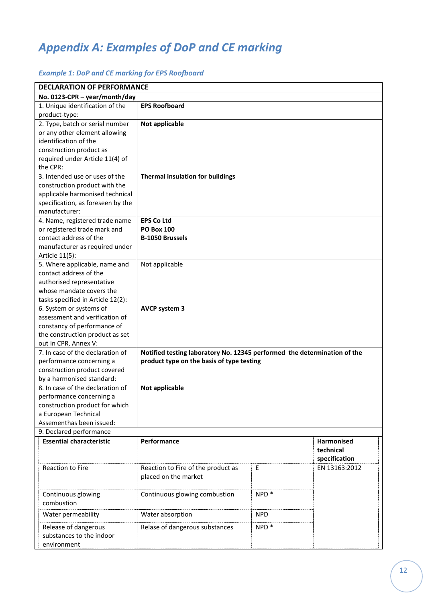# *Appendix A: Examples of DoP and CE marking*

#### *Example 1: DoP and CE marking for EPS Roofboard*

| <b>DECLARATION OF PERFORMANCE</b>                                                                                                                                    |                                                                                                                       |                  |                                                 |  |
|----------------------------------------------------------------------------------------------------------------------------------------------------------------------|-----------------------------------------------------------------------------------------------------------------------|------------------|-------------------------------------------------|--|
| No. 0123-CPR - year/month/day                                                                                                                                        |                                                                                                                       |                  |                                                 |  |
| 1. Unique identification of the<br>product-type:                                                                                                                     | <b>EPS Roofboard</b>                                                                                                  |                  |                                                 |  |
| 2. Type, batch or serial number<br>or any other element allowing<br>identification of the                                                                            | Not applicable                                                                                                        |                  |                                                 |  |
| construction product as<br>required under Article 11(4) of<br>the CPR:                                                                                               |                                                                                                                       |                  |                                                 |  |
| 3. Intended use or uses of the<br>construction product with the<br>applicable harmonised technical<br>specification, as foreseen by the<br>manufacturer:             | <b>Thermal insulation for buildings</b>                                                                               |                  |                                                 |  |
| 4. Name, registered trade name<br>or registered trade mark and<br>contact address of the<br>manufacturer as required under<br>Article 11(5):                         | <b>EPS Co Ltd</b><br><b>PO Box 100</b><br><b>B-1050 Brussels</b>                                                      |                  |                                                 |  |
| 5. Where applicable, name and<br>contact address of the<br>authorised representative<br>whose mandate covers the<br>tasks specified in Article 12(2):                | Not applicable                                                                                                        |                  |                                                 |  |
| 6. System or systems of<br>assessment and verification of<br>constancy of performance of<br>the construction product as set<br>out in CPR, Annex V:                  | <b>AVCP system 3</b>                                                                                                  |                  |                                                 |  |
| 7. In case of the declaration of<br>performance concerning a<br>construction product covered<br>by a harmonised standard:                                            | Notified testing laboratory No. 12345 performed the determination of the<br>product type on the basis of type testing |                  |                                                 |  |
| 8. In case of the declaration of<br>Not applicable<br>performance concerning a<br>construction product for which<br>a European Technical<br>Assementhas been issued: |                                                                                                                       |                  |                                                 |  |
| 9. Declared performance                                                                                                                                              |                                                                                                                       |                  |                                                 |  |
| <b>Essential characteristic</b>                                                                                                                                      | Performance                                                                                                           |                  | <b>Harmonised</b><br>technical<br>specification |  |
| <b>Reaction to Fire</b>                                                                                                                                              | Reaction to Fire of the product as<br>placed on the market                                                            | E                | EN 13163:2012                                   |  |
| Continuous glowing<br>combustion                                                                                                                                     | Continuous glowing combustion                                                                                         | NPD <sup>*</sup> |                                                 |  |
| Water permeability                                                                                                                                                   | Water absorption                                                                                                      | <b>NPD</b>       |                                                 |  |
| Release of dangerous<br>substances to the indoor<br>environment                                                                                                      | Relase of dangerous substances                                                                                        | NPD <sup>*</sup> |                                                 |  |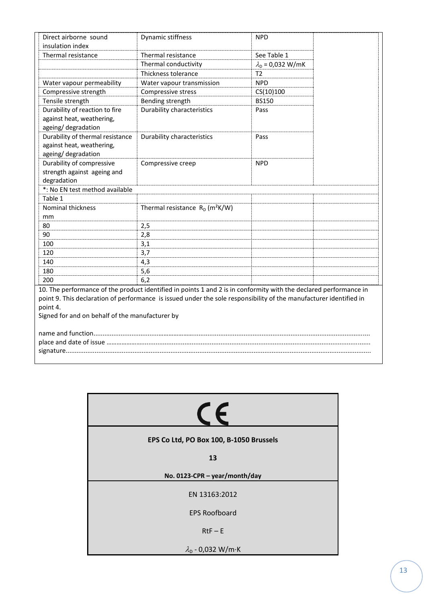| Direct airborne sound                           | Dynamic stiffness                                                                                                  | <b>NPD</b>                 |  |
|-------------------------------------------------|--------------------------------------------------------------------------------------------------------------------|----------------------------|--|
| insulation index                                |                                                                                                                    |                            |  |
| Thermal resistance                              | Thermal resistance                                                                                                 | See Table 1                |  |
|                                                 | Thermal conductivity                                                                                               | $\lambda_{D} = 0.032 W/mK$ |  |
|                                                 | Thickness tolerance                                                                                                | T <sub>2</sub>             |  |
| Water vapour permeability                       | Water vapour transmission                                                                                          | <b>NPD</b>                 |  |
| Compressive strength                            | Compressive stress                                                                                                 | CS(10)100                  |  |
| Tensile strength                                | Bending strength                                                                                                   | <b>BS150</b>               |  |
| Durability of reaction to fire                  | <b>Durability characteristics</b>                                                                                  | Pass                       |  |
| against heat, weathering,                       |                                                                                                                    |                            |  |
| ageing/degradation                              |                                                                                                                    |                            |  |
| Durability of thermal resistance                | Durability characteristics                                                                                         | Pass                       |  |
| against heat, weathering,                       |                                                                                                                    |                            |  |
| ageing/degradation                              |                                                                                                                    |                            |  |
| Durability of compressive                       | Compressive creep                                                                                                  | <b>NPD</b>                 |  |
| strength against ageing and                     |                                                                                                                    |                            |  |
| degradation                                     |                                                                                                                    |                            |  |
| *: No EN test method available                  |                                                                                                                    |                            |  |
| Table 1                                         |                                                                                                                    |                            |  |
| Nominal thickness                               | Thermal resistance $R_D$ (m <sup>2</sup> K/W)                                                                      |                            |  |
| mm                                              |                                                                                                                    |                            |  |
| 80                                              | 2,5                                                                                                                |                            |  |
| 90                                              | 2,8                                                                                                                |                            |  |
| 100                                             | 3,1                                                                                                                |                            |  |
| 120                                             | 3,7                                                                                                                |                            |  |
| 140                                             | 4,3                                                                                                                |                            |  |
| 180                                             | 5,6                                                                                                                |                            |  |
| 200                                             | 6,2                                                                                                                |                            |  |
|                                                 | 10. The performance of the product identified in points 1 and 2 is in conformity with the declared performance in  |                            |  |
|                                                 | point 9. This declaration of performance is issued under the sole responsibility of the manufacturer identified in |                            |  |
| point 4.                                        |                                                                                                                    |                            |  |
| Signed for and on behalf of the manufacturer by |                                                                                                                    |                            |  |
|                                                 |                                                                                                                    |                            |  |
|                                                 |                                                                                                                    |                            |  |
|                                                 |                                                                                                                    |                            |  |
|                                                 |                                                                                                                    |                            |  |

| EPS Co Ltd, PO Box 100, B-1050 Brussels |  |  |
|-----------------------------------------|--|--|
| 13                                      |  |  |
| No. 0123-CPR - year/month/day           |  |  |
| EN 13163:2012                           |  |  |
| <b>EPS Roofboard</b>                    |  |  |
| $RtF - E$                               |  |  |
| $\lambda_{D}$ - 0,032 W/m·K             |  |  |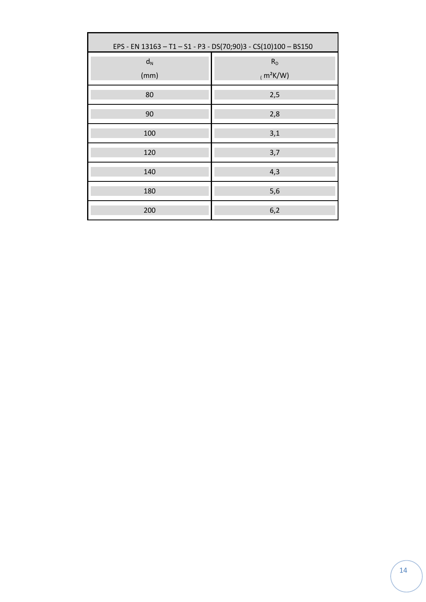| EPS - EN 13163 - T1 - S1 - P3 - DS(70;90)3 - CS(10)100 - BS150 |                              |  |
|----------------------------------------------------------------|------------------------------|--|
| $d_N$<br>(mm)                                                  | R <sub>D</sub><br>$(m^2K/W)$ |  |
| 80                                                             | 2,5                          |  |
| 90                                                             | 2,8                          |  |
| 100                                                            | 3,1                          |  |
| 120                                                            | 3,7                          |  |
| 140                                                            | 4,3                          |  |
| 180                                                            | 5,6                          |  |
| 200                                                            | 6,2                          |  |

Г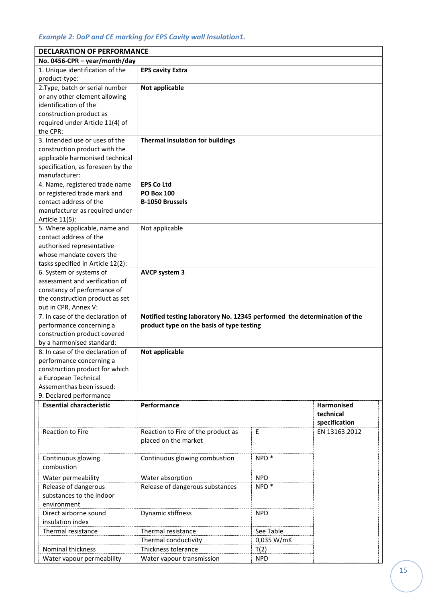#### *Example 2: DoP and CE marking for EPS Cavity wall Insulation1.*

| <b>DECLARATION OF PERFORMANCE</b>                |                                                                          |                    |                   |
|--------------------------------------------------|--------------------------------------------------------------------------|--------------------|-------------------|
| No. 0456-CPR - year/month/day                    |                                                                          |                    |                   |
| 1. Unique identification of the<br>product-type: | <b>EPS cavity Extra</b>                                                  |                    |                   |
| 2. Type, batch or serial number                  | Not applicable                                                           |                    |                   |
| or any other element allowing                    |                                                                          |                    |                   |
| identification of the                            |                                                                          |                    |                   |
| construction product as                          |                                                                          |                    |                   |
| required under Article 11(4) of                  |                                                                          |                    |                   |
| the CPR:                                         |                                                                          |                    |                   |
| 3. Intended use or uses of the                   | <b>Thermal insulation for buildings</b>                                  |                    |                   |
| construction product with the                    |                                                                          |                    |                   |
| applicable harmonised technical                  |                                                                          |                    |                   |
| specification, as foreseen by the                |                                                                          |                    |                   |
| manufacturer:                                    |                                                                          |                    |                   |
| 4. Name, registered trade name                   | <b>EPS Co Ltd</b>                                                        |                    |                   |
| or registered trade mark and                     | <b>PO Box 100</b>                                                        |                    |                   |
| contact address of the                           | <b>B-1050 Brussels</b>                                                   |                    |                   |
| manufacturer as required under                   |                                                                          |                    |                   |
| Article 11(5):                                   |                                                                          |                    |                   |
| 5. Where applicable, name and                    | Not applicable                                                           |                    |                   |
| contact address of the                           |                                                                          |                    |                   |
| authorised representative                        |                                                                          |                    |                   |
| whose mandate covers the                         |                                                                          |                    |                   |
| tasks specified in Article 12(2):                |                                                                          |                    |                   |
| 6. System or systems of                          | <b>AVCP system 3</b>                                                     |                    |                   |
| assessment and verification of                   |                                                                          |                    |                   |
| constancy of performance of                      |                                                                          |                    |                   |
| the construction product as set                  |                                                                          |                    |                   |
| out in CPR, Annex V:                             |                                                                          |                    |                   |
| 7. In case of the declaration of                 | Notified testing laboratory No. 12345 performed the determination of the |                    |                   |
| performance concerning a                         | product type on the basis of type testing                                |                    |                   |
| construction product covered                     |                                                                          |                    |                   |
| by a harmonised standard:                        |                                                                          |                    |                   |
| 8. In case of the declaration of                 | Not applicable                                                           |                    |                   |
| performance concerning a                         |                                                                          |                    |                   |
| construction product for which                   |                                                                          |                    |                   |
| a European Technical                             |                                                                          |                    |                   |
| Assementhas been issued:                         |                                                                          |                    |                   |
| 9. Declared performance                          |                                                                          |                    |                   |
| <b>Essential characteristic</b>                  | Performance                                                              |                    | <b>Harmonised</b> |
|                                                  |                                                                          |                    | technical         |
|                                                  |                                                                          |                    | specification     |
| <b>Reaction to Fire</b>                          | Reaction to Fire of the product as                                       | E                  | EN 13163:2012     |
|                                                  | placed on the market                                                     |                    |                   |
|                                                  |                                                                          |                    |                   |
| Continuous glowing                               | Continuous glowing combustion                                            | $NPD$ <sup>*</sup> |                   |
| combustion                                       |                                                                          |                    |                   |
| Water permeability                               | Water absorption                                                         | <b>NPD</b>         |                   |
| Release of dangerous                             | Release of dangerous substances                                          | NPD <sup>*</sup>   |                   |
| substances to the indoor                         |                                                                          |                    |                   |
| environment                                      |                                                                          |                    |                   |
| Direct airborne sound                            | Dynamic stiffness                                                        | <b>NPD</b>         |                   |
| insulation index                                 |                                                                          |                    |                   |
| Thermal resistance                               | Thermal resistance                                                       | See Table          |                   |
|                                                  | Thermal conductivity                                                     | 0,035 W/mK         |                   |
| <b>Nominal thickness</b>                         | Thickness tolerance                                                      | T(2)               |                   |
| Water vapour permeability                        | Water vapour transmission                                                | <b>NPD</b>         |                   |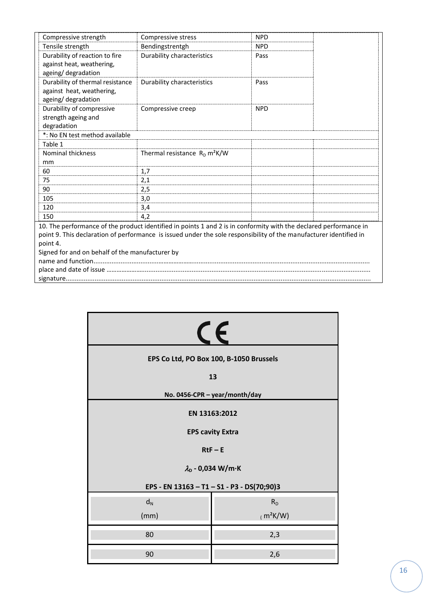| Compressive strength                            | Compressive stress                                                                                                 | <b>NPD</b> |  |
|-------------------------------------------------|--------------------------------------------------------------------------------------------------------------------|------------|--|
| Tensile strength                                | Bendingstrentgh                                                                                                    | <b>NPD</b> |  |
| Durability of reaction to fire                  | Durability characteristics                                                                                         | Pass       |  |
| against heat, weathering,                       |                                                                                                                    |            |  |
| ageing/ degradation                             |                                                                                                                    |            |  |
| Durability of thermal resistance                | Durability characteristics                                                                                         | Pass       |  |
| against heat, weathering,                       |                                                                                                                    |            |  |
| ageing/ degradation                             |                                                                                                                    |            |  |
| Durability of compressive                       | Compressive creep                                                                                                  | <b>NPD</b> |  |
| strength ageing and                             |                                                                                                                    |            |  |
| degradation                                     |                                                                                                                    |            |  |
| *: No EN test method available                  |                                                                                                                    |            |  |
| Table 1                                         |                                                                                                                    |            |  |
| <b>Nominal thickness</b>                        | Thermal resistance $R_D$ m <sup>2</sup> K/W                                                                        |            |  |
| mm                                              |                                                                                                                    |            |  |
| 60                                              | 1,7                                                                                                                |            |  |
| 75                                              | 2,1                                                                                                                |            |  |
| 90                                              | 2,5                                                                                                                |            |  |
| 105                                             | 3,0                                                                                                                |            |  |
| 120                                             | 3,4                                                                                                                |            |  |
| 150                                             | 4.2                                                                                                                |            |  |
|                                                 | 10. The performance of the product identified in points 1 and 2 is in conformity with the declared performance in  |            |  |
|                                                 | point 9. This declaration of performance is issued under the sole responsibility of the manufacturer identified in |            |  |
| point 4.                                        |                                                                                                                    |            |  |
| Signed for and on behalf of the manufacturer by |                                                                                                                    |            |  |
|                                                 |                                                                                                                    |            |  |
|                                                 |                                                                                                                    |            |  |
|                                                 |                                                                                                                    |            |  |

| $\epsilon$    |                                            |  |
|---------------|--------------------------------------------|--|
|               | EPS Co Ltd, PO Box 100, B-1050 Brussels    |  |
|               | 13                                         |  |
|               | No. 0456-CPR - year/month/day              |  |
| EN 13163:2012 |                                            |  |
|               | <b>EPS cavity Extra</b>                    |  |
|               | $RtF - E$                                  |  |
|               | $\lambda_{D}$ - 0,034 W/m·K                |  |
|               | EPS - EN 13163 - T1 - S1 - P3 - DS(70;90)3 |  |
| $d_N$         | $R_D$                                      |  |
| (mm)          | $(m^2K/W)$                                 |  |
| 80            | 2,3                                        |  |
| 90            | 2,6                                        |  |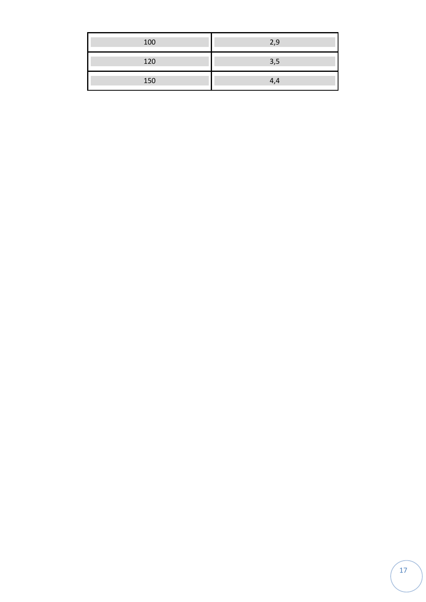| 100 | 2,9 |
|-----|-----|
| 120 | 3,5 |
| 150 | 4,4 |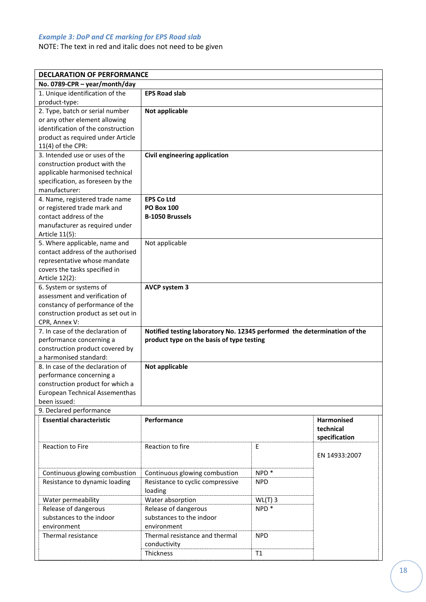#### *Example 3: DoP and CE marking for EPS Road slab*

NOTE: The text in red and italic does not need to be given

|                                                     | <b>DECLARATION OF PERFORMANCE</b>                                                                                     |                  |                   |  |  |
|-----------------------------------------------------|-----------------------------------------------------------------------------------------------------------------------|------------------|-------------------|--|--|
| No. 0789-CPR - year/month/day                       |                                                                                                                       |                  |                   |  |  |
| 1. Unique identification of the                     | <b>EPS Road slab</b>                                                                                                  |                  |                   |  |  |
| product-type:                                       |                                                                                                                       |                  |                   |  |  |
| 2. Type, batch or serial number                     | Not applicable                                                                                                        |                  |                   |  |  |
| or any other element allowing                       |                                                                                                                       |                  |                   |  |  |
| identification of the construction                  |                                                                                                                       |                  |                   |  |  |
| product as required under Article                   |                                                                                                                       |                  |                   |  |  |
| $11(4)$ of the CPR:                                 |                                                                                                                       |                  |                   |  |  |
| 3. Intended use or uses of the                      | Civil engineering application                                                                                         |                  |                   |  |  |
| construction product with the                       |                                                                                                                       |                  |                   |  |  |
| applicable harmonised technical                     |                                                                                                                       |                  |                   |  |  |
| specification, as foreseen by the                   |                                                                                                                       |                  |                   |  |  |
| manufacturer:                                       |                                                                                                                       |                  |                   |  |  |
| 4. Name, registered trade name                      | <b>EPS Co Ltd</b>                                                                                                     |                  |                   |  |  |
| or registered trade mark and                        | <b>PO Box 100</b>                                                                                                     |                  |                   |  |  |
| contact address of the                              | <b>B-1050 Brussels</b>                                                                                                |                  |                   |  |  |
| manufacturer as required under                      |                                                                                                                       |                  |                   |  |  |
| Article 11(5):                                      |                                                                                                                       |                  |                   |  |  |
| 5. Where applicable, name and                       | Not applicable                                                                                                        |                  |                   |  |  |
| contact address of the authorised                   |                                                                                                                       |                  |                   |  |  |
| representative whose mandate                        |                                                                                                                       |                  |                   |  |  |
| covers the tasks specified in                       |                                                                                                                       |                  |                   |  |  |
| Article 12(2):                                      |                                                                                                                       |                  |                   |  |  |
| 6. System or systems of                             | <b>AVCP system 3</b>                                                                                                  |                  |                   |  |  |
| assessment and verification of                      |                                                                                                                       |                  |                   |  |  |
| constancy of performance of the                     |                                                                                                                       |                  |                   |  |  |
| construction product as set out in<br>CPR, Annex V: |                                                                                                                       |                  |                   |  |  |
| $\overline{7}$ . In case of the declaration of      |                                                                                                                       |                  |                   |  |  |
| performance concerning a                            | Notified testing laboratory No. 12345 performed the determination of the<br>product type on the basis of type testing |                  |                   |  |  |
| construction product covered by                     |                                                                                                                       |                  |                   |  |  |
| a harmonised standard:                              |                                                                                                                       |                  |                   |  |  |
| 8. In case of the declaration of                    | Not applicable                                                                                                        |                  |                   |  |  |
| performance concerning a                            |                                                                                                                       |                  |                   |  |  |
| construction product for which a                    |                                                                                                                       |                  |                   |  |  |
| European Technical Assementhas                      |                                                                                                                       |                  |                   |  |  |
| been issued:                                        |                                                                                                                       |                  |                   |  |  |
| 9. Declared performance                             |                                                                                                                       |                  |                   |  |  |
| <b>Essential characteristic</b>                     | Performance                                                                                                           |                  | <b>Harmonised</b> |  |  |
|                                                     |                                                                                                                       |                  | technical         |  |  |
|                                                     |                                                                                                                       |                  | specification     |  |  |
| <b>Reaction to Fire</b>                             | Reaction to fire                                                                                                      | E                |                   |  |  |
|                                                     |                                                                                                                       |                  | EN 14933:2007     |  |  |
|                                                     |                                                                                                                       |                  |                   |  |  |
| Continuous glowing combustion                       | Continuous glowing combustion                                                                                         | NPD <sup>*</sup> |                   |  |  |
| Resistance to dynamic loading                       | Resistance to cyclic compressive                                                                                      | <b>NPD</b>       |                   |  |  |
|                                                     | loading                                                                                                               |                  |                   |  |  |
| Water permeability                                  | Water absorption                                                                                                      | $WL(T)$ 3        |                   |  |  |
| Release of dangerous                                | Release of dangerous                                                                                                  | NPD <sup>*</sup> |                   |  |  |
| substances to the indoor                            | substances to the indoor                                                                                              |                  |                   |  |  |
| environment                                         | environment                                                                                                           |                  |                   |  |  |
| Thermal resistance                                  | Thermal resistance and thermal                                                                                        | <b>NPD</b>       |                   |  |  |
|                                                     | conductivity                                                                                                          |                  |                   |  |  |
|                                                     | Thickness                                                                                                             | T1               |                   |  |  |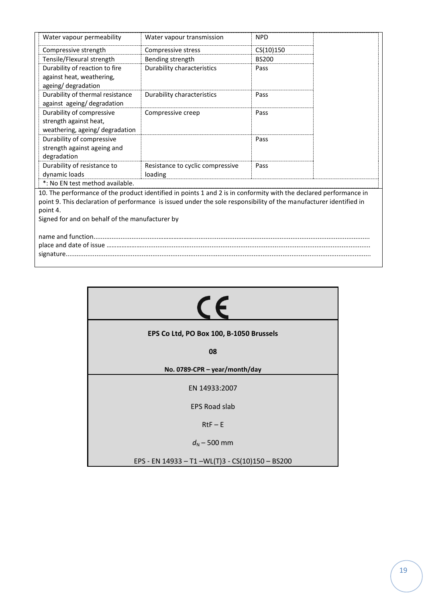| Water vapour permeability                       | Water vapour transmission                                                                                          | <b>NPD</b>   |  |
|-------------------------------------------------|--------------------------------------------------------------------------------------------------------------------|--------------|--|
| Compressive strength                            | Compressive stress                                                                                                 | CS(10)150    |  |
| Tensile/Flexural strength                       | Bending strength                                                                                                   | <b>BS200</b> |  |
| Durability of reaction to fire                  | Durability characteristics                                                                                         | Pass         |  |
| against heat, weathering,                       |                                                                                                                    |              |  |
| ageing/degradation                              |                                                                                                                    |              |  |
| Durability of thermal resistance                | Durability characteristics                                                                                         | Pass         |  |
| against ageing/degradation                      |                                                                                                                    |              |  |
| Durability of compressive                       | Compressive creep                                                                                                  | Pass         |  |
| strength against heat,                          |                                                                                                                    |              |  |
| weathering, ageing/degradation                  |                                                                                                                    |              |  |
| Durability of compressive                       |                                                                                                                    | Pass         |  |
| strength against ageing and                     |                                                                                                                    |              |  |
| degradation                                     |                                                                                                                    |              |  |
| Durability of resistance to                     | Resistance to cyclic compressive                                                                                   | Pass         |  |
| dynamic loads                                   | loading                                                                                                            |              |  |
| *: No EN test method available.                 |                                                                                                                    |              |  |
|                                                 | 10. The performance of the product identified in points 1 and 2 is in conformity with the declared performance in  |              |  |
|                                                 | point 9. This declaration of performance is issued under the sole responsibility of the manufacturer identified in |              |  |
| point 4.                                        |                                                                                                                    |              |  |
| Signed for and on behalf of the manufacturer by |                                                                                                                    |              |  |
|                                                 |                                                                                                                    |              |  |
|                                                 |                                                                                                                    |              |  |
|                                                 |                                                                                                                    |              |  |
|                                                 |                                                                                                                    |              |  |

| $\epsilon$                                       |  |  |  |
|--------------------------------------------------|--|--|--|
| EPS Co Ltd, PO Box 100, B-1050 Brussels          |  |  |  |
| 08                                               |  |  |  |
| No. 0789-CPR - year/month/day                    |  |  |  |
| EN 14933:2007                                    |  |  |  |
| <b>EPS Road slab</b>                             |  |  |  |
| $RtF - E$                                        |  |  |  |
| $d_{N}$ – 500 mm                                 |  |  |  |
| EPS - EN 14933 - T1 - WL(T)3 - CS(10)150 - BS200 |  |  |  |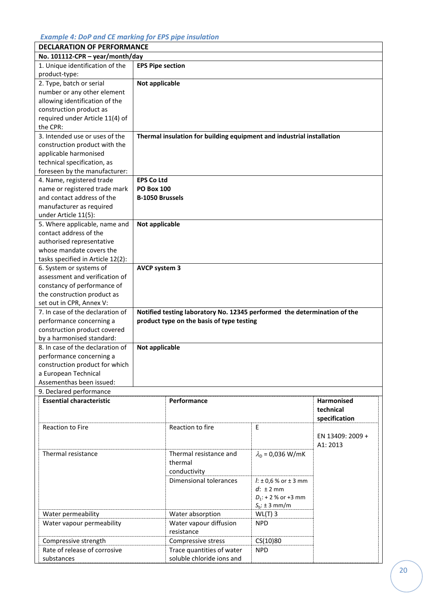#### *Example 4: DoP and CE marking for EPS pipe insulation*

| <b>DECLARATION OF PERFORMANCE</b>                          |                         |                                                                          |                              |                   |  |
|------------------------------------------------------------|-------------------------|--------------------------------------------------------------------------|------------------------------|-------------------|--|
| No. 101112-CPR - year/month/day                            |                         |                                                                          |                              |                   |  |
| 1. Unique identification of the<br>product-type:           | <b>EPS Pipe section</b> |                                                                          |                              |                   |  |
| 2. Type, batch or serial                                   |                         |                                                                          |                              |                   |  |
| number or any other element                                | Not applicable          |                                                                          |                              |                   |  |
| allowing identification of the                             |                         |                                                                          |                              |                   |  |
|                                                            |                         |                                                                          |                              |                   |  |
| construction product as                                    |                         |                                                                          |                              |                   |  |
| required under Article 11(4) of                            |                         |                                                                          |                              |                   |  |
| the CPR:                                                   |                         |                                                                          |                              |                   |  |
| 3. Intended use or uses of the                             |                         | Thermal insulation for building equipment and industrial installation    |                              |                   |  |
| construction product with the                              |                         |                                                                          |                              |                   |  |
| applicable harmonised                                      |                         |                                                                          |                              |                   |  |
| technical specification, as                                |                         |                                                                          |                              |                   |  |
| foreseen by the manufacturer:                              |                         |                                                                          |                              |                   |  |
| 4. Name, registered trade                                  | <b>EPS Co Ltd</b>       |                                                                          |                              |                   |  |
| name or registered trade mark                              | <b>PO Box 100</b>       |                                                                          |                              |                   |  |
| and contact address of the                                 | <b>B-1050 Brussels</b>  |                                                                          |                              |                   |  |
| manufacturer as required                                   |                         |                                                                          |                              |                   |  |
| under Article 11(5):                                       |                         |                                                                          |                              |                   |  |
| 5. Where applicable, name and                              | Not applicable          |                                                                          |                              |                   |  |
| contact address of the                                     |                         |                                                                          |                              |                   |  |
| authorised representative                                  |                         |                                                                          |                              |                   |  |
| whose mandate covers the                                   |                         |                                                                          |                              |                   |  |
| tasks specified in Article 12(2):                          |                         |                                                                          |                              |                   |  |
| 6. System or systems of                                    | <b>AVCP system 3</b>    |                                                                          |                              |                   |  |
| assessment and verification of                             |                         |                                                                          |                              |                   |  |
| constancy of performance of                                |                         |                                                                          |                              |                   |  |
| the construction product as                                |                         |                                                                          |                              |                   |  |
| set out in CPR, Annex V:                                   |                         |                                                                          |                              |                   |  |
| 7. In case of the declaration of                           |                         | Notified testing laboratory No. 12345 performed the determination of the |                              |                   |  |
| performance concerning a                                   |                         |                                                                          |                              |                   |  |
| construction product covered                               |                         | product type on the basis of type testing                                |                              |                   |  |
| by a harmonised standard:                                  |                         |                                                                          |                              |                   |  |
| 8. In case of the declaration of                           | Not applicable          |                                                                          |                              |                   |  |
|                                                            |                         |                                                                          |                              |                   |  |
| performance concerning a<br>construction product for which |                         |                                                                          |                              |                   |  |
|                                                            |                         |                                                                          |                              |                   |  |
| a European Technical<br>Assementhas been issued:           |                         |                                                                          |                              |                   |  |
| 9. Declared performance                                    |                         |                                                                          |                              |                   |  |
| <b>Essential characteristic</b>                            |                         | Performance                                                              |                              | <b>Harmonised</b> |  |
|                                                            |                         | technical                                                                |                              |                   |  |
|                                                            |                         |                                                                          |                              | specification     |  |
| <b>Reaction to Fire</b>                                    |                         | Reaction to fire                                                         | E                            |                   |  |
|                                                            |                         |                                                                          |                              | EN 13409: 2009 +  |  |
|                                                            |                         |                                                                          |                              | A1: 2013          |  |
| Thermal resistance                                         |                         | Thermal resistance and                                                   |                              |                   |  |
|                                                            |                         |                                                                          | $\lambda_{D}$ = 0,036 W/mK   |                   |  |
|                                                            |                         | thermal                                                                  |                              |                   |  |
|                                                            |                         | conductivity                                                             |                              |                   |  |
|                                                            |                         | Dimensional tolerances                                                   | $l: \pm 0.6$ % or $\pm 3$ mm |                   |  |
|                                                            |                         |                                                                          | $d: \pm 2$ mm                |                   |  |
|                                                            |                         |                                                                          | $D_1$ : + 2 % or +3 mm       |                   |  |
|                                                            |                         |                                                                          | $S_b: \pm 3$ mm/m            |                   |  |
| Water permeability                                         |                         | Water absorption                                                         | $WL(T)$ 3                    |                   |  |
| Water vapour permeability                                  |                         | Water vapour diffusion                                                   | <b>NPD</b>                   |                   |  |
|                                                            |                         | resistance                                                               |                              |                   |  |
| Compressive strength                                       |                         | Compressive stress                                                       | CS(10)80                     |                   |  |
| Rate of release of corrosive                               |                         | Trace quantities of water                                                | <b>NPD</b>                   |                   |  |
| substances                                                 |                         | soluble chloride ions and                                                |                              |                   |  |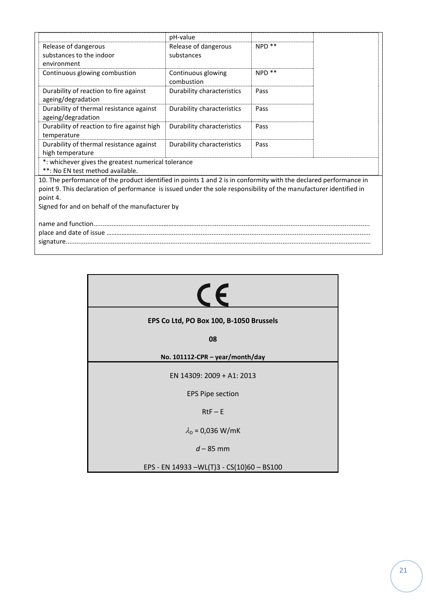|                                                                                                                    |                                                                | pH-value                         |                   |  |
|--------------------------------------------------------------------------------------------------------------------|----------------------------------------------------------------|----------------------------------|-------------------|--|
|                                                                                                                    | Release of dangerous                                           | Release of dangerous             | NPD **            |  |
|                                                                                                                    | substances to the indoor                                       | substances                       |                   |  |
|                                                                                                                    | environment                                                    |                                  |                   |  |
|                                                                                                                    | Continuous glowing combustion                                  | Continuous glowing<br>combustion | NPD <sup>**</sup> |  |
|                                                                                                                    | Durability of reaction to fire against<br>ageing/degradation   | Durability characteristics       | Pass              |  |
|                                                                                                                    | Durability of thermal resistance against<br>ageing/degradation | Durability characteristics       | Pass              |  |
|                                                                                                                    | Durability of reaction to fire against high<br>temperature     | Durability characteristics       | Pass              |  |
|                                                                                                                    | Durability of thermal resistance against<br>high temperature   | Durability characteristics       | Pass              |  |
|                                                                                                                    | *: whichever gives the greatest numerical tolerance            |                                  |                   |  |
|                                                                                                                    | **: No EN test method available.                               |                                  |                   |  |
| 10. The performance of the product identified in points 1 and 2 is in conformity with the declared performance in  |                                                                |                                  |                   |  |
| point 9. This declaration of performance is issued under the sole responsibility of the manufacturer identified in |                                                                |                                  |                   |  |
| point 4.                                                                                                           |                                                                |                                  |                   |  |
| Signed for and on behalf of the manufacturer by                                                                    |                                                                |                                  |                   |  |
|                                                                                                                    |                                                                |                                  |                   |  |
|                                                                                                                    |                                                                |                                  |                   |  |

| EPS Co Ltd, PO Box 100, B-1050 Brussels    |  |  |  |
|--------------------------------------------|--|--|--|
| 08                                         |  |  |  |
| No. 101112-CPR - year/month/day            |  |  |  |
| EN 14309: 2009 + A1: 2013                  |  |  |  |
| <b>EPS Pipe section</b>                    |  |  |  |
| $RtF - E$                                  |  |  |  |
| $\lambda_{D} = 0.036 W/mK$                 |  |  |  |
| $d - 85$ mm                                |  |  |  |
| EPS - EN 14933 - WL(T)3 - CS(10)60 - BS100 |  |  |  |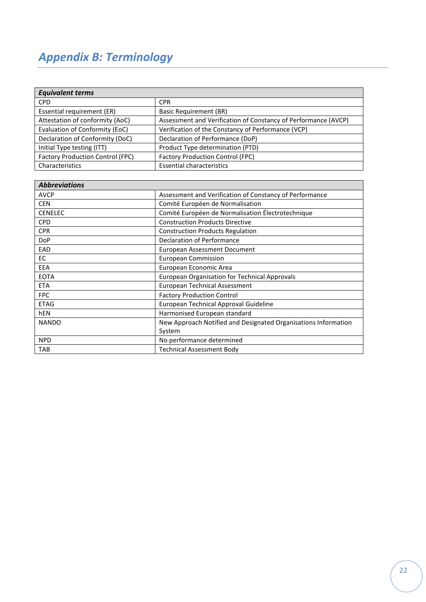# <span id="page-21-0"></span>*Appendix B: Terminology*

| <b>Equivalent terms</b>                 |                                                                |  |  |
|-----------------------------------------|----------------------------------------------------------------|--|--|
| <b>CPD</b>                              | <b>CPR</b>                                                     |  |  |
| Essential requirement (ER)              | <b>Basic Requirement (BR)</b>                                  |  |  |
| Attestation of conformity (AoC)         | Assessment and Verification of Constancy of Performance (AVCP) |  |  |
| Evaluation of Conformity (EoC)          | Verification of the Constancy of Performance (VCP)             |  |  |
| Declaration of Conformity (DoC)         | Declaration of Performance (DoP)                               |  |  |
| Initial Type testing (ITT)              | Product Type determination (PTD)                               |  |  |
| <b>Factory Production Control (FPC)</b> | <b>Factory Production Control (FPC)</b>                        |  |  |
| Characteristics                         | <b>Essential characteristics</b>                               |  |  |

| <b>Abbreviations</b> |                                                                |
|----------------------|----------------------------------------------------------------|
| <b>AVCP</b>          | Assessment and Verification of Constancy of Performance        |
| <b>CEN</b>           | Comité Européen de Normalisation                               |
| <b>CENELEC</b>       | Comité Européen de Normalisation Électrotechnique              |
| <b>CPD</b>           | <b>Construction Products Directive</b>                         |
| <b>CPR</b>           | <b>Construction Products Regulation</b>                        |
| <b>DoP</b>           | Declaration of Performance                                     |
| EAD                  | <b>European Assessment Document</b>                            |
| EC.                  | <b>European Commission</b>                                     |
| EEA                  | European Economic Area                                         |
| <b>EOTA</b>          | European Organisation for Technical Approvals                  |
| <b>ETA</b>           | <b>European Technical Assessment</b>                           |
| <b>FPC</b>           | <b>Factory Production Control</b>                              |
| <b>ETAG</b>          | European Technical Approval Guideline                          |
| hEN                  | Harmonised European standard                                   |
| <b>NANDO</b>         | New Approach Notified and Designated Organisations Information |
|                      | System                                                         |
| <b>NPD</b>           | No performance determined                                      |
| <b>TAB</b>           | <b>Technical Assessment Body</b>                               |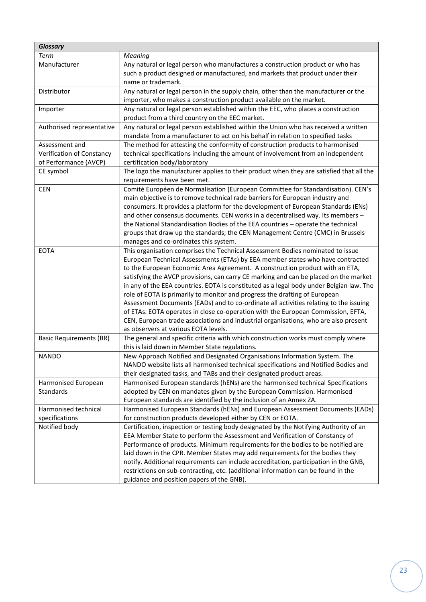| <b>Glossary</b>                |                                                                                                                                                     |
|--------------------------------|-----------------------------------------------------------------------------------------------------------------------------------------------------|
| <b>Term</b>                    | Meaning                                                                                                                                             |
| Manufacturer                   | Any natural or legal person who manufactures a construction product or who has                                                                      |
|                                | such a product designed or manufactured, and markets that product under their                                                                       |
|                                | name or trademark.                                                                                                                                  |
| Distributor                    | Any natural or legal person in the supply chain, other than the manufacturer or the                                                                 |
|                                | importer, who makes a construction product available on the market.                                                                                 |
| Importer                       | Any natural or legal person established within the EEC, who places a construction                                                                   |
|                                | product from a third country on the EEC market.                                                                                                     |
| Authorised representative      | Any natural or legal person established within the Union who has received a written                                                                 |
|                                | mandate from a manufacturer to act on his behalf in relation to specified tasks                                                                     |
| Assessment and                 | The method for attesting the conformity of construction products to harmonised                                                                      |
| Verification of Constancy      | technical specifications including the amount of involvement from an independent                                                                    |
| of Performance (AVCP)          | certification body/laboratory                                                                                                                       |
| CE symbol                      | The logo the manufacturer applies to their product when they are satisfied that all the                                                             |
|                                | requirements have been met.                                                                                                                         |
| <b>CEN</b>                     | Comité Européen de Normalisation (European Committee for Standardisation). CEN's                                                                    |
|                                | main objective is to remove technical rade barriers for European industry and                                                                       |
|                                | consumers. It provides a platform for the development of European Standards (ENs)                                                                   |
|                                | and other consensus documents. CEN works in a decentralised way. Its members -                                                                      |
|                                | the National Standardisation Bodies of the EEA countries - operate the technical                                                                    |
|                                | groups that draw up the standards; the CEN Management Centre (CMC) in Brussels                                                                      |
|                                | manages and co-ordinates this system.                                                                                                               |
| <b>EOTA</b>                    | This organisation comprises the Technical Assessment Bodies nominated to issue                                                                      |
|                                | European Technical Assessments (ETAs) by EEA member states who have contracted                                                                      |
|                                | to the European Economic Area Agreement. A construction product with an ETA,                                                                        |
|                                | satisfying the AVCP provisions, can carry CE marking and can be placed on the market                                                                |
|                                | in any of the EEA countries. EOTA is constituted as a legal body under Belgian law. The                                                             |
|                                | role of EOTA is primarily to monitor and progress the drafting of European                                                                          |
|                                | Assessment Documents (EADs) and to co-ordinate all activities relating to the issuing                                                               |
|                                | of ETAs. EOTA operates in close co-operation with the European Commission, EFTA,                                                                    |
|                                | CEN, European trade associations and industrial organisations, who are also present                                                                 |
|                                | as observers at various EOTA levels.                                                                                                                |
| <b>Basic Requirements (BR)</b> | The general and specific criteria with which construction works must comply where                                                                   |
|                                | this is laid down in Member State regulations.                                                                                                      |
| <b>NANDO</b>                   | New Approach Notified and Designated Organisations Information System. The                                                                          |
|                                | NANDO website lists all harmonised technical specifications and Notified Bodies and                                                                 |
|                                | their designated tasks, and TABs and their designated product areas.                                                                                |
| Harmonised European            | Harmonised European standards (hENs) are the harmonised technical Specifications                                                                    |
| Standards                      | adopted by CEN on mandates given by the European Commission. Harmonised                                                                             |
| Harmonised technical           | European standards are identified by the inclusion of an Annex ZA.<br>Harmonised European Standards (hENs) and European Assessment Documents (EADs) |
| specifications                 | for construction products developed either by CEN or EOTA.                                                                                          |
| Notified body                  | Certification, inspection or testing body designated by the Notifying Authority of an                                                               |
|                                | EEA Member State to perform the Assessment and Verification of Constancy of                                                                         |
|                                | Performance of products. Minimum requirements for the bodies to be notified are                                                                     |
|                                | laid down in the CPR. Member States may add requirements for the bodies they                                                                        |
|                                | notify. Additional requirements can include accreditation, participation in the GNB,                                                                |
|                                | restrictions on sub-contracting, etc. (additional information can be found in the                                                                   |
|                                | guidance and position papers of the GNB).                                                                                                           |
|                                |                                                                                                                                                     |